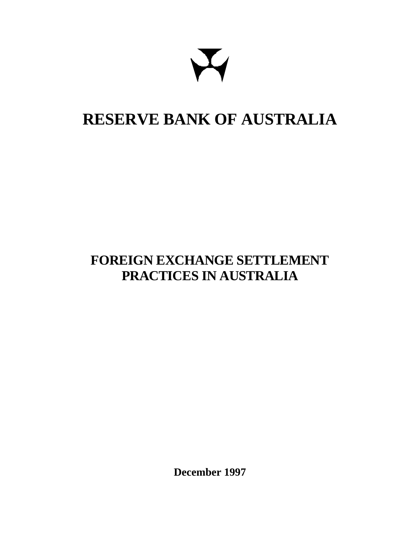## **RESERVE BANK OF AUSTRALIA**

## **FOREIGN EXCHANGE SETTLEMENT PRACTICES IN AUSTRALIA**

**December 1997**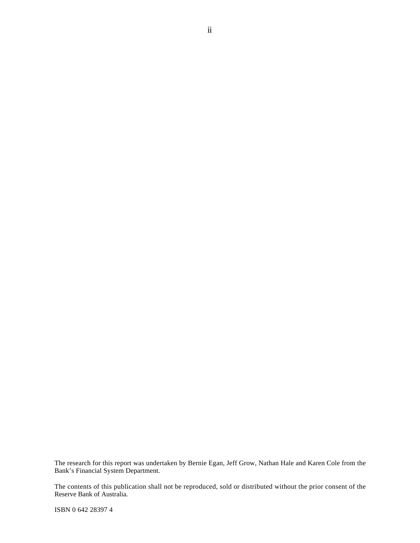The research for this report was undertaken by Bernie Egan, Jeff Grow, Nathan Hale and Karen Cole from the Bank's Financial System Department.

The contents of this publication shall not be reproduced, sold or distributed without the prior consent of the Reserve Bank of Australia.

ISBN 0 642 28397 4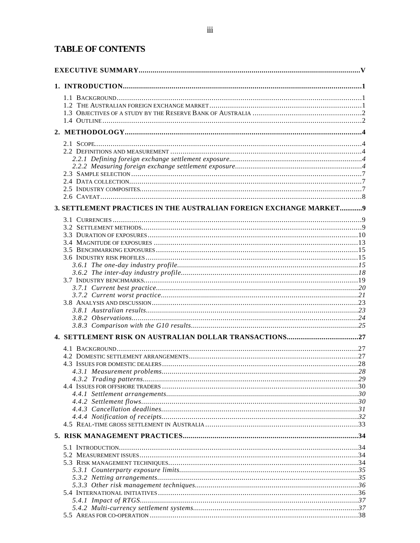#### **TABLE OF CONTENTS**

| 3. SETTLEMENT PRACTICES IN THE AUSTRALIAN FOREIGN EXCHANGE MARKET9 |  |
|--------------------------------------------------------------------|--|
|                                                                    |  |
|                                                                    |  |
|                                                                    |  |
|                                                                    |  |
|                                                                    |  |
|                                                                    |  |
|                                                                    |  |
|                                                                    |  |
|                                                                    |  |
|                                                                    |  |
|                                                                    |  |
|                                                                    |  |
|                                                                    |  |
|                                                                    |  |
|                                                                    |  |
|                                                                    |  |
|                                                                    |  |
|                                                                    |  |
|                                                                    |  |
|                                                                    |  |
|                                                                    |  |
|                                                                    |  |
|                                                                    |  |
|                                                                    |  |
|                                                                    |  |
|                                                                    |  |
|                                                                    |  |
|                                                                    |  |
|                                                                    |  |
|                                                                    |  |
|                                                                    |  |
|                                                                    |  |
|                                                                    |  |
|                                                                    |  |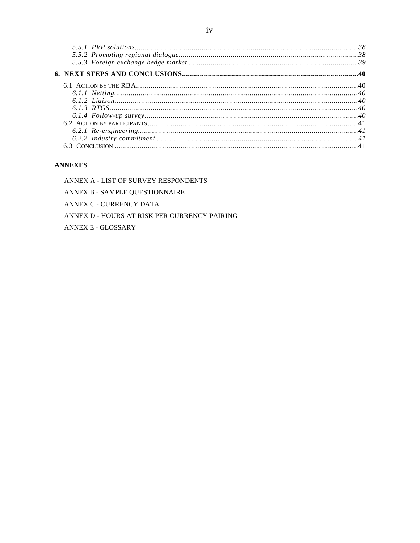#### **ANNEXES**

ANNEX A - LIST OF SURVEY RESPONDENTS

ANNEX B - SAMPLE QUESTIONNAIRE

ANNEX C - CURRENCY DATA

ANNEX D - HOURS AT RISK PER CURRENCY PAIRING

**ANNEX E - GLOSSARY**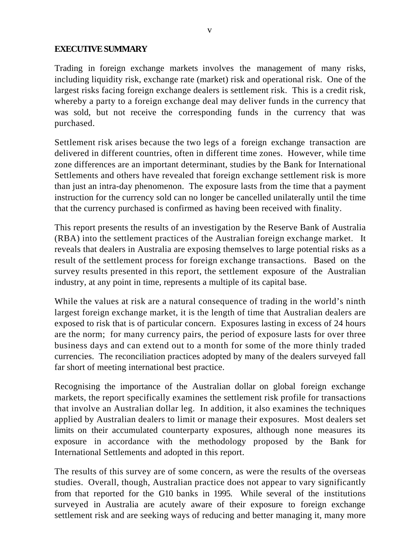#### **EXECUTIVE SUMMARY**

Trading in foreign exchange markets involves the management of many risks, including liquidity risk, exchange rate (market) risk and operational risk. One of the largest risks facing foreign exchange dealers is settlement risk. This is a credit risk, whereby a party to a foreign exchange deal may deliver funds in the currency that was sold, but not receive the corresponding funds in the currency that was purchased.

Settlement risk arises because the two legs of a foreign exchange transaction are delivered in different countries, often in different time zones. However, while time zone differences are an important determinant, studies by the Bank for International Settlements and others have revealed that foreign exchange settlement risk is more than just an intra-day phenomenon. The exposure lasts from the time that a payment instruction for the currency sold can no longer be cancelled unilaterally until the time that the currency purchased is confirmed as having been received with finality.

This report presents the results of an investigation by the Reserve Bank of Australia (RBA) into the settlement practices of the Australian foreign exchange market. It reveals that dealers in Australia are exposing themselves to large potential risks as a result of the settlement process for foreign exchange transactions. Based on the survey results presented in this report, the settlement exposure of the Australian industry, at any point in time, represents a multiple of its capital base.

While the values at risk are a natural consequence of trading in the world's ninth largest foreign exchange market, it is the length of time that Australian dealers are exposed to risk that is of particular concern. Exposures lasting in excess of 24 hours are the norm; for many currency pairs, the period of exposure lasts for over three business days and can extend out to a month for some of the more thinly traded currencies. The reconciliation practices adopted by many of the dealers surveyed fall far short of meeting international best practice.

Recognising the importance of the Australian dollar on global foreign exchange markets, the report specifically examines the settlement risk profile for transactions that involve an Australian dollar leg. In addition, it also examines the techniques applied by Australian dealers to limit or manage their exposures. Most dealers set limits on their accumulated counterparty exposures, although none measures its exposure in accordance with the methodology proposed by the Bank for International Settlements and adopted in this report.

The results of this survey are of some concern, as were the results of the overseas studies. Overall, though, Australian practice does not appear to vary significantly from that reported for the G10 banks in 1995. While several of the institutions surveyed in Australia are acutely aware of their exposure to foreign exchange settlement risk and are seeking ways of reducing and better managing it, many more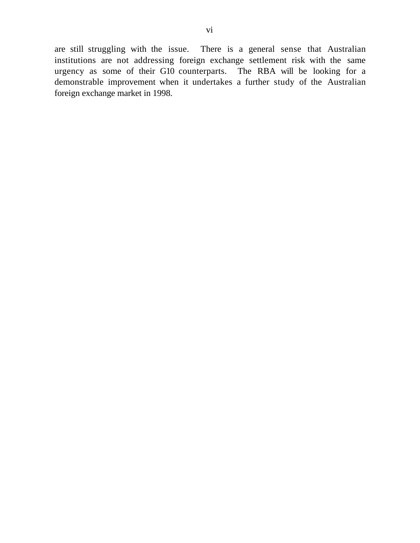are still struggling with the issue. There is a general sense that Australian institutions are not addressing foreign exchange settlement risk with the same urgency as some of their G10 counterparts. The RBA will be looking for a demonstrable improvement when it undertakes a further study of the Australian foreign exchange market in 1998.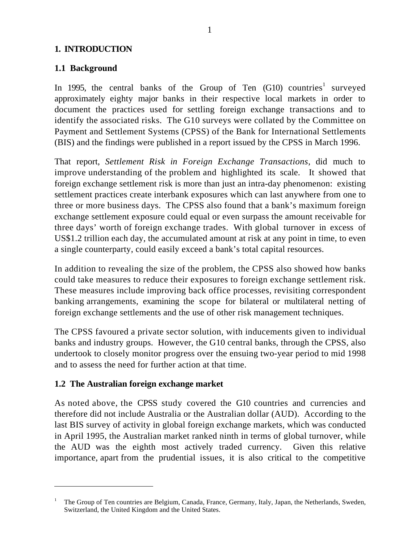#### **1. INTRODUCTION**

#### **1.1 Background**

In 1995, the central banks of the Group of Ten  $(G10)$  countries<sup>1</sup> surveyed approximately eighty major banks in their respective local markets in order to document the practices used for settling foreign exchange transactions and to identify the associated risks. The G10 surveys were collated by the Committee on Payment and Settlement Systems (CPSS) of the Bank for International Settlements (BIS) and the findings were published in a report issued by the CPSS in March 1996.

That report, *Settlement Risk in Foreign Exchange Transactions*, did much to improve understanding of the problem and highlighted its scale. It showed that foreign exchange settlement risk is more than just an intra-day phenomenon: existing settlement practices create interbank exposures which can last anywhere from one to three or more business days. The CPSS also found that a bank's maximum foreign exchange settlement exposure could equal or even surpass the amount receivable for three days' worth of foreign exchange trades. With global turnover in excess of US\$1.2 trillion each day, the accumulated amount at risk at any point in time, to even a single counterparty, could easily exceed a bank's total capital resources.

In addition to revealing the size of the problem, the CPSS also showed how banks could take measures to reduce their exposures to foreign exchange settlement risk. These measures include improving back office processes, revisiting correspondent banking arrangements, examining the scope for bilateral or multilateral netting of foreign exchange settlements and the use of other risk management techniques.

The CPSS favoured a private sector solution, with inducements given to individual banks and industry groups. However, the G10 central banks, through the CPSS, also undertook to closely monitor progress over the ensuing two-year period to mid 1998 and to assess the need for further action at that time.

#### **1.2 The Australian foreign exchange market**

 $\overline{\phantom{0}}$ 

As noted above, the CPSS study covered the G10 countries and currencies and therefore did not include Australia or the Australian dollar (AUD). According to the last BIS survey of activity in global foreign exchange markets, which was conducted in April 1995, the Australian market ranked ninth in terms of global turnover, while the AUD was the eighth most actively traded currency. Given this relative importance, apart from the prudential issues, it is also critical to the competitive

<sup>1</sup> The Group of Ten countries are Belgium, Canada, France, Germany, Italy, Japan, the Netherlands, Sweden, Switzerland, the United Kingdom and the United States.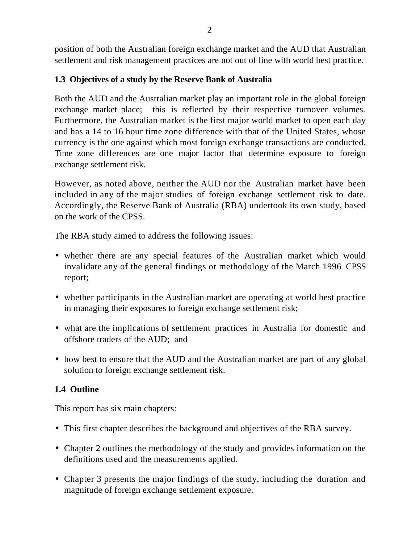position of both the Australian foreign exchange market and the AUD that Australian settlement and risk management practices are not out of line with world best practice.

#### **1.3 Objectives of a study by the Reserve Bank of Australia**

Both the AUD and the Australian market play an important role in the global foreign exchange market place; this is reflected by their respective turnover volumes. Furthermore, the Australian market is the first major world market to open each day and has a 14 to 16 hour time zone difference with that of the United States, whose currency is the one against which most foreign exchange transactions are conducted. Time zone differences are one major factor that determine exposure to foreign exchange settlement risk.

However, as noted above, neither the AUD nor the Australian market have been included in any of the major studies of foreign exchange settlement risk to date. Accordingly, the Reserve Bank of Australia (RBA) undertook its own study, based on the work of the CPSS.

The RBA study aimed to address the following issues:

- whether there are any special features of the Australian market which would invalidate any of the general findings or methodology of the March 1996 CPSS report;
- whether participants in the Australian market are operating at world best practice in managing their exposures to foreign exchange settlement risk;
- what are the implications of settlement practices in Australia for domestic and offshore traders of the AUD; and
- how best to ensure that the AUD and the Australian market are part of any global solution to foreign exchange settlement risk.

#### **1.4 Outline**

This report has six main chapters:

- This first chapter describes the background and objectives of the RBA survey.
- Chapter 2 outlines the methodology of the study and provides information on the definitions used and the measurements applied.
- Chapter 3 presents the major findings of the study, including the duration and magnitude of foreign exchange settlement exposure.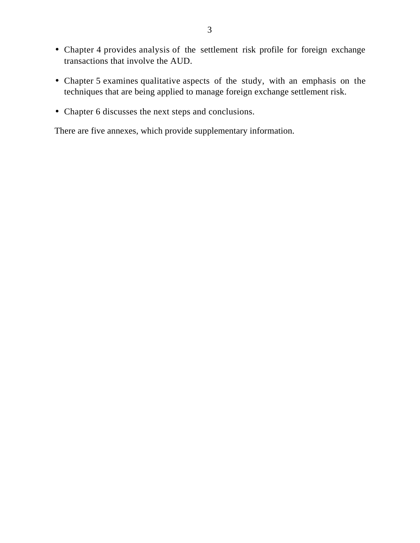- Chapter 4 provides analysis of the settlement risk profile for foreign exchange transactions that involve the AUD.
- Chapter 5 examines qualitative aspects of the study, with an emphasis on the techniques that are being applied to manage foreign exchange settlement risk.
- Chapter 6 discusses the next steps and conclusions.

There are five annexes, which provide supplementary information.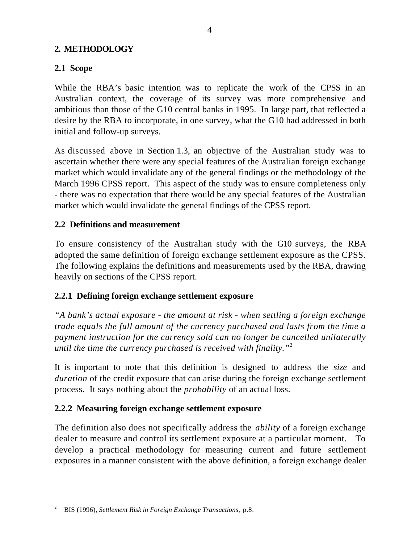#### **2. METHODOLOGY**

#### **2.1 Scope**

While the RBA's basic intention was to replicate the work of the CPSS in an Australian context, the coverage of its survey was more comprehensive and ambitious than those of the G10 central banks in 1995. In large part, that reflected a desire by the RBA to incorporate, in one survey, what the G10 had addressed in both initial and follow-up surveys.

As discussed above in Section 1.3, an objective of the Australian study was to ascertain whether there were any special features of the Australian foreign exchange market which would invalidate any of the general findings or the methodology of the March 1996 CPSS report. This aspect of the study was to ensure completeness only - there was no expectation that there would be any special features of the Australian market which would invalidate the general findings of the CPSS report.

#### **2.2 Definitions and measurement**

To ensure consistency of the Australian study with the G10 surveys, the RBA adopted the same definition of foreign exchange settlement exposure as the CPSS. The following explains the definitions and measurements used by the RBA, drawing heavily on sections of the CPSS report.

#### **2.2.1 Defining foreign exchange settlement exposure**

*"A bank's actual exposure - the amount at risk - when settling a foreign exchange trade equals the full amount of the currency purchased and lasts from the time a payment instruction for the currency sold can no longer be cancelled unilaterally until the time the currency purchased is received with finality."*<sup>2</sup>

It is important to note that this definition is designed to address the *size* and *duration* of the credit exposure that can arise during the foreign exchange settlement process. It says nothing about the *probability* of an actual loss.

#### **2.2.2 Measuring foreign exchange settlement exposure**

The definition also does not specifically address the *ability* of a foreign exchange dealer to measure and control its settlement exposure at a particular moment. To develop a practical methodology for measuring current and future settlement exposures in a manner consistent with the above definition, a foreign exchange dealer

 $\overline{a}$ 

2

BIS (1996), *Settlement Risk in Foreign Exchange Transactions*, p.8.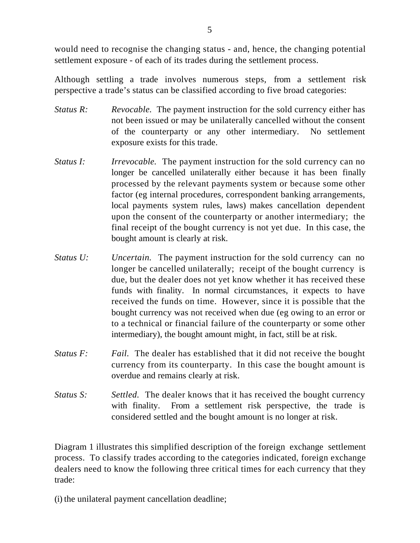would need to recognise the changing status - and, hence, the changing potential settlement exposure - of each of its trades during the settlement process.

Although settling a trade involves numerous steps, from a settlement risk perspective a trade's status can be classified according to five broad categories:

- *Status R: Revocable.* The payment instruction for the sold currency either has not been issued or may be unilaterally cancelled without the consent of the counterparty or any other intermediary. No settlement exposure exists for this trade.
- *Status I: Irrevocable.* The payment instruction for the sold currency can no longer be cancelled unilaterally either because it has been finally processed by the relevant payments system or because some other factor (eg internal procedures, correspondent banking arrangements, local payments system rules, laws) makes cancellation dependent upon the consent of the counterparty or another intermediary; the final receipt of the bought currency is not yet due. In this case, the bought amount is clearly at risk.
- *Status U: Uncertain.* The payment instruction for the sold currency can no longer be cancelled unilaterally; receipt of the bought currency is due, but the dealer does not yet know whether it has received these funds with finality. In normal circumstances, it expects to have received the funds on time. However, since it is possible that the bought currency was not received when due (eg owing to an error or to a technical or financial failure of the counterparty or some other intermediary), the bought amount might, in fact, still be at risk.
- *Status F: Fail.* The dealer has established that it did not receive the bought currency from its counterparty. In this case the bought amount is overdue and remains clearly at risk.
- *Status S: Settled.* The dealer knows that it has received the bought currency with finality. From a settlement risk perspective, the trade is considered settled and the bought amount is no longer at risk.

Diagram 1 illustrates this simplified description of the foreign exchange settlement process. To classify trades according to the categories indicated, foreign exchange dealers need to know the following three critical times for each currency that they trade:

(i) the unilateral payment cancellation deadline;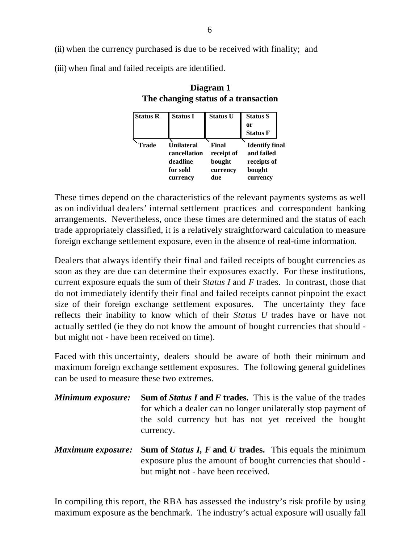(ii) when the currency purchased is due to be received with finality; and

(iii) when final and failed receipts are identified.

| <b>Status R</b> | <b>Status I</b> | <b>Status U</b> | <b>Status S</b>       |
|-----------------|-----------------|-----------------|-----------------------|
|                 |                 |                 | or                    |
|                 |                 |                 | <b>Status F</b>       |
| <b>Trade</b>    | Unilateral      | Final           | <b>Identify final</b> |
|                 | cancellation    | receipt of      | and failed            |
|                 | deadline        | bought          | receipts of           |
|                 | for sold        | currency        | bought                |
|                 | currency        | due             | currency              |

#### **Diagram 1 The changing status of a transaction**

These times depend on the characteristics of the relevant payments systems as well as on individual dealers' internal settlement practices and correspondent banking arrangements. Nevertheless, once these times are determined and the status of each trade appropriately classified, it is a relatively straightforward calculation to measure foreign exchange settlement exposure, even in the absence of real-time information.

Dealers that always identify their final and failed receipts of bought currencies as soon as they are due can determine their exposures exactly. For these institutions, current exposure equals the sum of their *Status I* and *F* trades. In contrast, those that do not immediately identify their final and failed receipts cannot pinpoint the exact size of their foreign exchange settlement exposures. The uncertainty they face reflects their inability to know which of their *Status U* trades have or have not actually settled (ie they do not know the amount of bought currencies that should but might not - have been received on time).

Faced with this uncertainty, dealers should be aware of both their minimum and maximum foreign exchange settlement exposures. The following general guidelines can be used to measure these two extremes.

- *Minimum exposure:* **Sum of** *Status I* **and** *F* **trades.** This is the value of the trades for which a dealer can no longer unilaterally stop payment of the sold currency but has not yet received the bought currency.
- *Maximum exposure:* **Sum of** *Status I, F* **and** *U* **trades.** This equals the minimum exposure plus the amount of bought currencies that should but might not - have been received.

In compiling this report, the RBA has assessed the industry's risk profile by using maximum exposure as the benchmark. The industry's actual exposure will usually fall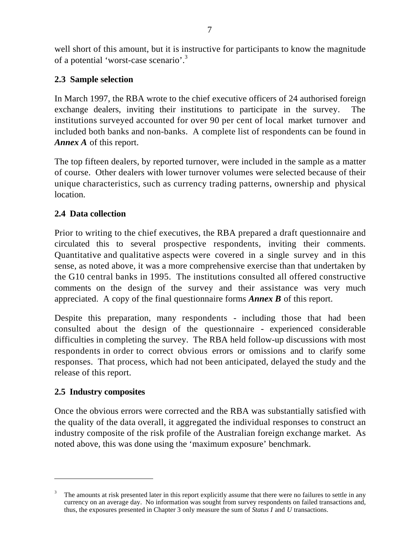well short of this amount, but it is instructive for participants to know the magnitude of a potential 'worst-case scenario'.<sup>3</sup>

#### **2.3 Sample selection**

In March 1997, the RBA wrote to the chief executive officers of 24 authorised foreign exchange dealers, inviting their institutions to participate in the survey. The institutions surveyed accounted for over 90 per cent of local market turnover and included both banks and non-banks. A complete list of respondents can be found in *Annex A* of this report.

The top fifteen dealers, by reported turnover, were included in the sample as a matter of course. Other dealers with lower turnover volumes were selected because of their unique characteristics, such as currency trading patterns, ownership and physical location.

#### **2.4 Data collection**

Prior to writing to the chief executives, the RBA prepared a draft questionnaire and circulated this to several prospective respondents, inviting their comments. Quantitative and qualitative aspects were covered in a single survey and in this sense, as noted above, it was a more comprehensive exercise than that undertaken by the G10 central banks in 1995. The institutions consulted all offered constructive comments on the design of the survey and their assistance was very much appreciated. A copy of the final questionnaire forms *Annex B* of this report.

Despite this preparation, many respondents - including those that had been consulted about the design of the questionnaire - experienced considerable difficulties in completing the survey. The RBA held follow-up discussions with most respondents in order to correct obvious errors or omissions and to clarify some responses. That process, which had not been anticipated, delayed the study and the release of this report.

#### **2.5 Industry composites**

 $\overline{a}$ 

Once the obvious errors were corrected and the RBA was substantially satisfied with the quality of the data overall, it aggregated the individual responses to construct an industry composite of the risk profile of the Australian foreign exchange market. As noted above, this was done using the 'maximum exposure' benchmark.

<sup>3</sup> The amounts at risk presented later in this report explicitly assume that there were no failures to settle in any currency on an average day. No information was sought from survey respondents on failed transactions and, thus, the exposures presented in Chapter 3 only measure the sum of *Status I* and *U* transactions.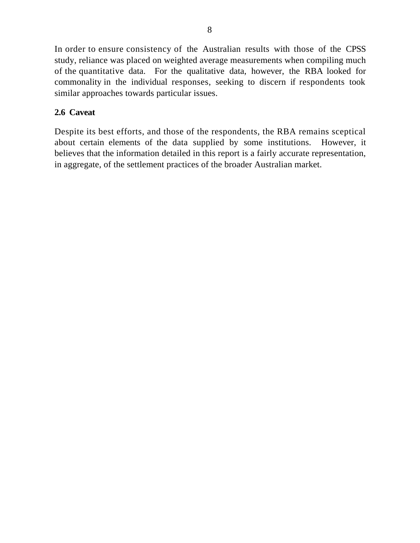In order to ensure consistency of the Australian results with those of the CPSS study, reliance was placed on weighted average measurements when compiling much of the quantitative data. For the qualitative data, however, the RBA looked for commonality in the individual responses, seeking to discern if respondents took similar approaches towards particular issues.

#### **2.6 Caveat**

Despite its best efforts, and those of the respondents, the RBA remains sceptical about certain elements of the data supplied by some institutions. However, it believes that the information detailed in this report is a fairly accurate representation, in aggregate, of the settlement practices of the broader Australian market.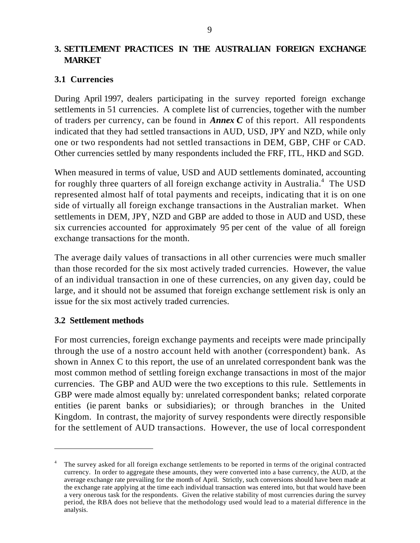#### **3. SETTLEMENT PRACTICES IN THE AUSTRALIAN FOREIGN EXCHANGE MARKET**

#### **3.1 Currencies**

During April 1997, dealers participating in the survey reported foreign exchange settlements in 51 currencies. A complete list of currencies, together with the number of traders per currency, can be found in *Annex C* of this report. All respondents indicated that they had settled transactions in AUD, USD, JPY and NZD, while only one or two respondents had not settled transactions in DEM, GBP, CHF or CAD. Other currencies settled by many respondents included the FRF, ITL, HKD and SGD.

When measured in terms of value, USD and AUD settlements dominated, accounting for roughly three quarters of all foreign exchange activity in Australia.<sup>4</sup> The USD represented almost half of total payments and receipts, indicating that it is on one side of virtually all foreign exchange transactions in the Australian market. When settlements in DEM, JPY, NZD and GBP are added to those in AUD and USD, these six currencies accounted for approximately 95 per cent of the value of all foreign exchange transactions for the month.

The average daily values of transactions in all other currencies were much smaller than those recorded for the six most actively traded currencies. However, the value of an individual transaction in one of these currencies, on any given day, could be large, and it should not be assumed that foreign exchange settlement risk is only an issue for the six most actively traded currencies.

#### **3.2 Settlement methods**

 $\overline{a}$ 

For most currencies, foreign exchange payments and receipts were made principally through the use of a nostro account held with another (correspondent) bank. As shown in Annex C to this report, the use of an unrelated correspondent bank was the most common method of settling foreign exchange transactions in most of the major currencies. The GBP and AUD were the two exceptions to this rule. Settlements in GBP were made almost equally by: unrelated correspondent banks; related corporate entities (ie parent banks or subsidiaries); or through branches in the United Kingdom. In contrast, the majority of survey respondents were directly responsible for the settlement of AUD transactions. However, the use of local correspondent

<sup>4</sup> The survey asked for all foreign exchange settlements to be reported in terms of the original contracted currency. In order to aggregate these amounts, they were converted into a base currency, the AUD, at the average exchange rate prevailing for the month of April. Strictly, such conversions should have been made at the exchange rate applying at the time each individual transaction was entered into, but that would have been a very onerous task for the respondents. Given the relative stability of most currencies during the survey period, the RBA does not believe that the methodology used would lead to a material difference in the analysis.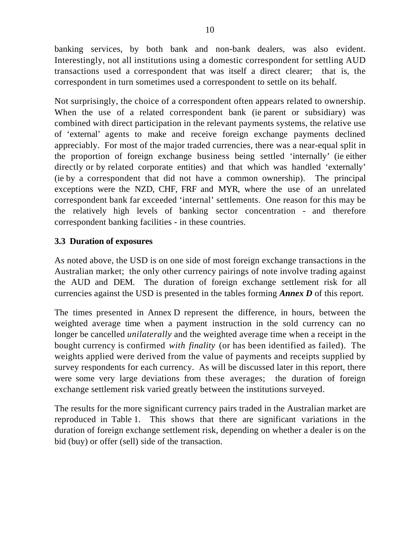banking services, by both bank and non-bank dealers, was also evident. Interestingly, not all institutions using a domestic correspondent for settling AUD transactions used a correspondent that was itself a direct clearer; that is, the correspondent in turn sometimes used a correspondent to settle on its behalf.

Not surprisingly, the choice of a correspondent often appears related to ownership. When the use of a related correspondent bank (ie parent or subsidiary) was combined with direct participation in the relevant payments systems, the relative use of 'external' agents to make and receive foreign exchange payments declined appreciably. For most of the major traded currencies, there was a near-equal split in the proportion of foreign exchange business being settled 'internally' (ie either directly or by related corporate entities) and that which was handled 'externally' (ie by a correspondent that did not have a common ownership). The principal exceptions were the NZD, CHF, FRF and MYR, where the use of an unrelated correspondent bank far exceeded 'internal' settlements. One reason for this may be the relatively high levels of banking sector concentration - and therefore correspondent banking facilities - in these countries.

#### **3.3 Duration of exposures**

As noted above, the USD is on one side of most foreign exchange transactions in the Australian market; the only other currency pairings of note involve trading against the AUD and DEM. The duration of foreign exchange settlement risk for all currencies against the USD is presented in the tables forming *Annex D* of this report.

The times presented in Annex D represent the difference, in hours, between the weighted average time when a payment instruction in the sold currency can no longer be cancelled *unilaterally* and the weighted average time when a receipt in the bought currency is confirmed *with finality* (or has been identified as failed). The weights applied were derived from the value of payments and receipts supplied by survey respondents for each currency. As will be discussed later in this report, there were some very large deviations from these averages; the duration of foreign exchange settlement risk varied greatly between the institutions surveyed.

The results for the more significant currency pairs traded in the Australian market are reproduced in Table 1. This shows that there are significant variations in the duration of foreign exchange settlement risk, depending on whether a dealer is on the bid (buy) or offer (sell) side of the transaction.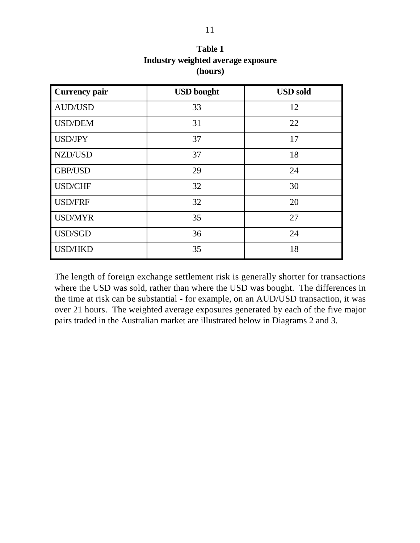| <b>Currency pair</b> | <b>USD</b> bought | <b>USD</b> sold |
|----------------------|-------------------|-----------------|
| <b>AUD/USD</b>       | 33                | 12              |
| <b>USD/DEM</b>       | 31                | 22              |
| <b>USD/JPY</b>       | 37                | 17              |
| NZD/USD              | 37                | 18              |
| <b>GBP/USD</b>       | 29                | 24              |
| <b>USD/CHF</b>       | 32                | 30              |
| <b>USD/FRF</b>       | 32                | 20              |
| <b>USD/MYR</b>       | 35                | 27              |
| USD/SGD              | 36                | 24              |
| <b>USD/HKD</b>       | 35                | 18              |

**Table 1 Industry weighted average exposure (hours)**

The length of foreign exchange settlement risk is generally shorter for transactions where the USD was sold, rather than where the USD was bought. The differences in the time at risk can be substantial - for example, on an AUD/USD transaction, it was over 21 hours. The weighted average exposures generated by each of the five major pairs traded in the Australian market are illustrated below in Diagrams 2 and 3.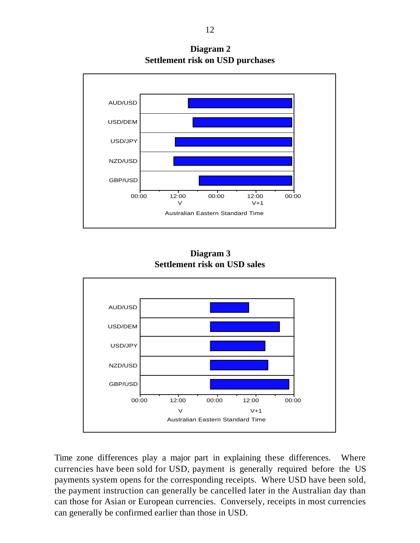

**Diagram 2 Settlement risk on USD purchases**

**Diagram 3 Settlement risk on USD sales**



Time zone differences play a major part in explaining these differences. Where currencies have been sold for USD, payment is generally required before the US payments system opens for the corresponding receipts. Where USD have been sold, the payment instruction can generally be cancelled later in the Australian day than can those for Asian or European currencies. Conversely, receipts in most currencies can generally be confirmed earlier than those in USD.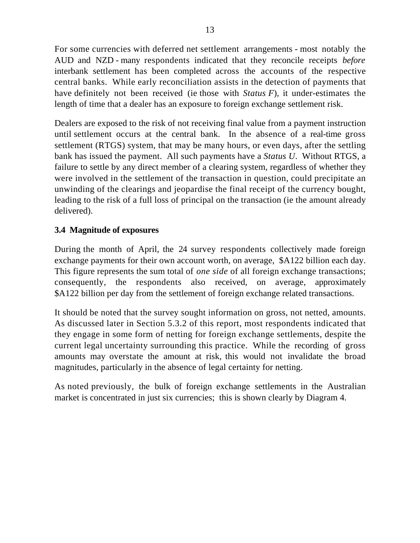For some currencies with deferred net settlement arrangements - most notably the AUD and NZD - many respondents indicated that they reconcile receipts *before* interbank settlement has been completed across the accounts of the respective central banks. While early reconciliation assists in the detection of payments that have definitely not been received (ie those with *Status F*), it under-estimates the length of time that a dealer has an exposure to foreign exchange settlement risk.

Dealers are exposed to the risk of not receiving final value from a payment instruction until settlement occurs at the central bank. In the absence of a real-time gross settlement (RTGS) system, that may be many hours, or even days, after the settling bank has issued the payment. All such payments have a *Status U*. Without RTGS, a failure to settle by any direct member of a clearing system, regardless of whether they were involved in the settlement of the transaction in question, could precipitate an unwinding of the clearings and jeopardise the final receipt of the currency bought, leading to the risk of a full loss of principal on the transaction (ie the amount already delivered).

#### **3.4 Magnitude of exposures**

During the month of April, the 24 survey respondents collectively made foreign exchange payments for their own account worth, on average, \$A122 billion each day. This figure represents the sum total of *one side* of all foreign exchange transactions; consequently, the respondents also received, on average, approximately \$A122 billion per day from the settlement of foreign exchange related transactions.

It should be noted that the survey sought information on gross, not netted, amounts. As discussed later in Section 5.3.2 of this report, most respondents indicated that they engage in some form of netting for foreign exchange settlements, despite the current legal uncertainty surrounding this practice. While the recording of gross amounts may overstate the amount at risk, this would not invalidate the broad magnitudes, particularly in the absence of legal certainty for netting.

As noted previously, the bulk of foreign exchange settlements in the Australian market is concentrated in just six currencies; this is shown clearly by Diagram 4.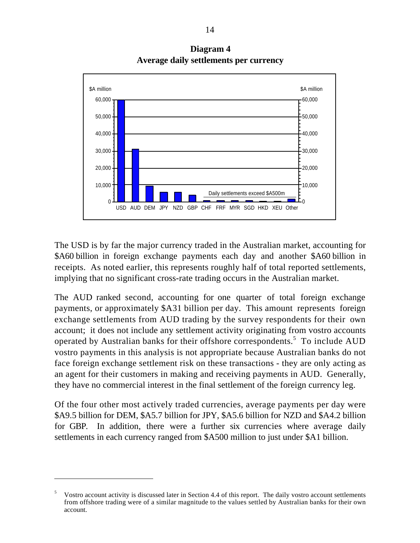

**Diagram 4 Average daily settlements per currency**

The USD is by far the major currency traded in the Australian market, accounting for \$A60 billion in foreign exchange payments each day and another \$A60 billion in receipts. As noted earlier, this represents roughly half of total reported settlements, implying that no significant cross-rate trading occurs in the Australian market.

The AUD ranked second, accounting for one quarter of total foreign exchange payments, or approximately \$A31 billion per day. This amount represents foreign exchange settlements from AUD trading by the survey respondents for their own account; it does not include any settlement activity originating from vostro accounts operated by Australian banks for their offshore correspondents.<sup>5</sup> To include AUD vostro payments in this analysis is not appropriate because Australian banks do not face foreign exchange settlement risk on these transactions - they are only acting as an agent for their customers in making and receiving payments in AUD. Generally, they have no commercial interest in the final settlement of the foreign currency leg.

Of the four other most actively traded currencies, average payments per day were \$A9.5 billion for DEM, \$A5.7 billion for JPY, \$A5.6 billion for NZD and \$A4.2 billion for GBP. In addition, there were a further six currencies where average daily settlements in each currency ranged from \$A500 million to just under \$A1 billion.

 $\overline{a}$ 

<sup>5</sup> Vostro account activity is discussed later in Section 4.4 of this report. The daily vostro account settlements from offshore trading were of a similar magnitude to the values settled by Australian banks for their own account.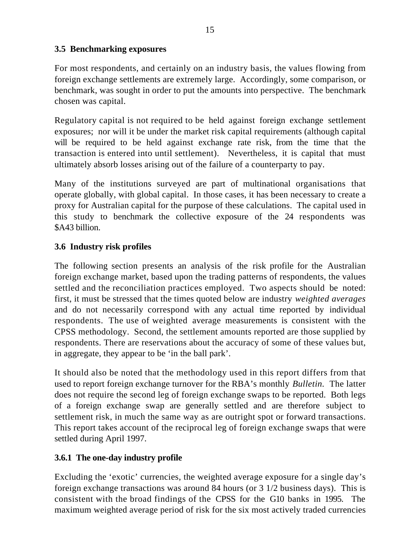#### **3.5 Benchmarking exposures**

For most respondents, and certainly on an industry basis, the values flowing from foreign exchange settlements are extremely large. Accordingly, some comparison, or benchmark, was sought in order to put the amounts into perspective. The benchmark chosen was capital.

Regulatory capital is not required to be held against foreign exchange settlement exposures; nor will it be under the market risk capital requirements (although capital will be required to be held against exchange rate risk, from the time that the transaction is entered into until settlement). Nevertheless, it is capital that must ultimately absorb losses arising out of the failure of a counterparty to pay.

Many of the institutions surveyed are part of multinational organisations that operate globally, with global capital. In those cases, it has been necessary to create a proxy for Australian capital for the purpose of these calculations. The capital used in this study to benchmark the collective exposure of the 24 respondents was \$A43 billion.

#### **3.6 Industry risk profiles**

The following section presents an analysis of the risk profile for the Australian foreign exchange market, based upon the trading patterns of respondents, the values settled and the reconciliation practices employed. Two aspects should be noted: first, it must be stressed that the times quoted below are industry *weighted averages* and do not necessarily correspond with any actual time reported by individual respondents. The use of weighted average measurements is consistent with the CPSS methodology. Second, the settlement amounts reported are those supplied by respondents. There are reservations about the accuracy of some of these values but, in aggregate, they appear to be 'in the ball park'.

It should also be noted that the methodology used in this report differs from that used to report foreign exchange turnover for the RBA's monthly *Bulletin.* The latter does not require the second leg of foreign exchange swaps to be reported. Both legs of a foreign exchange swap are generally settled and are therefore subject to settlement risk, in much the same way as are outright spot or forward transactions. This report takes account of the reciprocal leg of foreign exchange swaps that were settled during April 1997.

#### **3.6.1 The one-day industry profile**

Excluding the 'exotic' currencies, the weighted average exposure for a single day's foreign exchange transactions was around 84 hours (or 3 1/2 business days). This is consistent with the broad findings of the CPSS for the G10 banks in 1995. The maximum weighted average period of risk for the six most actively traded currencies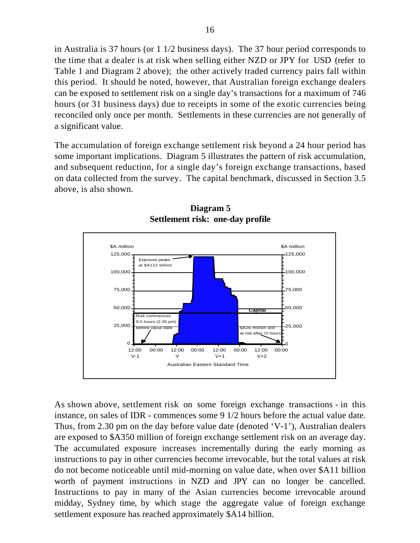in Australia is 37 hours (or 1 1/2 business days). The 37 hour period corresponds to the time that a dealer is at risk when selling either NZD or JPY for USD (refer to Table 1 and Diagram 2 above); the other actively traded currency pairs fall within this period. It should be noted, however, that Australian foreign exchange dealers can be exposed to settlement risk on a single day's transactions for a maximum of 746 hours (or 31 business days) due to receipts in some of the exotic currencies being reconciled only once per month. Settlements in these currencies are not generally of a significant value.

The accumulation of foreign exchange settlement risk beyond a 24 hour period has some important implications. Diagram 5 illustrates the pattern of risk accumulation, and subsequent reduction, for a single day's foreign exchange transactions, based on data collected from the survey. The capital benchmark, discussed in Section 3.5 above, is also shown.



**Diagram 5 Settlement risk: one-day profile**

As shown above, settlement risk on some foreign exchange transactions - in this instance, on sales of IDR - commences some 9 1/2 hours before the actual value date. Thus, from 2.30 pm on the day before value date (denoted 'V-1'), Australian dealers are exposed to \$A350 million of foreign exchange settlement risk on an average day. The accumulated exposure increases incrementally during the early morning as instructions to pay in other currencies become irrevocable, but the total values at risk do not become noticeable until mid-morning on value date, when over \$A11 billion worth of payment instructions in NZD and JPY can no longer be cancelled. Instructions to pay in many of the Asian currencies become irrevocable around midday, Sydney time, by which stage the aggregate value of foreign exchange settlement exposure has reached approximately \$A14 billion.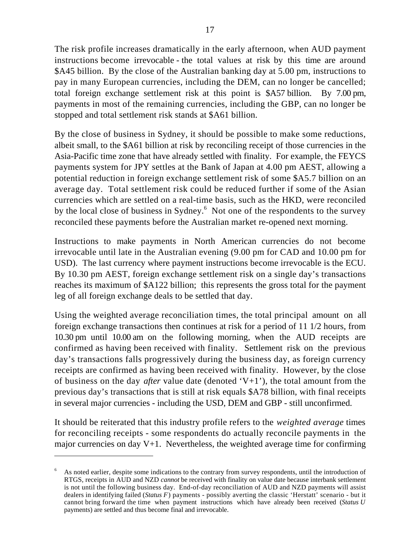The risk profile increases dramatically in the early afternoon, when AUD payment instructions become irrevocable - the total values at risk by this time are around \$A45 billion. By the close of the Australian banking day at 5.00 pm, instructions to pay in many European currencies, including the DEM, can no longer be cancelled; total foreign exchange settlement risk at this point is \$A57 billion. By 7.00 pm, payments in most of the remaining currencies, including the GBP, can no longer be stopped and total settlement risk stands at \$A61 billion.

By the close of business in Sydney, it should be possible to make some reductions, albeit small, to the \$A61 billion at risk by reconciling receipt of those currencies in the Asia-Pacific time zone that have already settled with finality. For example, the FEYCS payments system for JPY settles at the Bank of Japan at 4.00 pm AEST, allowing a potential reduction in foreign exchange settlement risk of some \$A5.7 billion on an average day. Total settlement risk could be reduced further if some of the Asian currencies which are settled on a real-time basis, such as the HKD, were reconciled by the local close of business in Sydney.<sup>6</sup> Not one of the respondents to the survey reconciled these payments before the Australian market re-opened next morning.

Instructions to make payments in North American currencies do not become irrevocable until late in the Australian evening (9.00 pm for CAD and 10.00 pm for USD). The last currency where payment instructions become irrevocable is the ECU. By 10.30 pm AEST, foreign exchange settlement risk on a single day's transactions reaches its maximum of \$A122 billion; this represents the gross total for the payment leg of all foreign exchange deals to be settled that day.

Using the weighted average reconciliation times, the total principal amount on all foreign exchange transactions then continues at risk for a period of 11 1/2 hours, from 10.30 pm until 10.00 am on the following morning, when the AUD receipts are confirmed as having been received with finality. Settlement risk on the previous day's transactions falls progressively during the business day, as foreign currency receipts are confirmed as having been received with finality. However, by the close of business on the day *after* value date (denoted 'V+1'), the total amount from the previous day's transactions that is still at risk equals \$A78 billion, with final receipts in several major currencies - including the USD, DEM and GBP - still unconfirmed.

It should be reiterated that this industry profile refers to the *weighted average* times for reconciling receipts - some respondents do actually reconcile payments in the major currencies on day  $V+1$ . Nevertheless, the weighted average time for confirming

 $\overline{a}$ 

<sup>6</sup> As noted earlier, despite some indications to the contrary from survey respondents, until the introduction of RTGS, receipts in AUD and NZD *cannot* be received with finality on value date because interbank settlement is not until the following business day. End-of-day reconciliation of AUD and NZD payments will assist dealers in identifying failed (*Status F*) payments - possibly averting the classic 'Herstatt' scenario - but it cannot bring forward the time when payment instructions which have already been received (*Status U* payments) are settled and thus become final and irrevocable.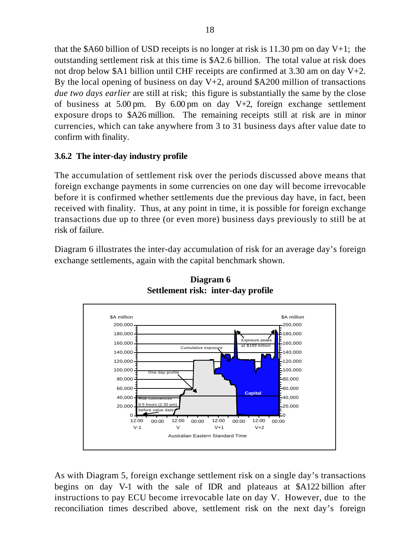that the \$A60 billion of USD receipts is no longer at risk is 11.30 pm on day  $V+1$ ; the outstanding settlement risk at this time is \$A2.6 billion. The total value at risk does not drop below \$A1 billion until CHF receipts are confirmed at 3.30 am on day V+2. By the local opening of business on day  $V+2$ , around \$A200 million of transactions *due two days earlier* are still at risk; this figure is substantially the same by the close of business at 5.00 pm. By 6.00 pm on day V+2, foreign exchange settlement exposure drops to \$A26 million. The remaining receipts still at risk are in minor currencies, which can take anywhere from 3 to 31 business days after value date to confirm with finality.

#### **3.6.2 The inter-day industry profile**

The accumulation of settlement risk over the periods discussed above means that foreign exchange payments in some currencies on one day will become irrevocable before it is confirmed whether settlements due the previous day have, in fact, been received with finality. Thus, at any point in time, it is possible for foreign exchange transactions due up to three (or even more) business days previously to still be at risk of failure.

Diagram 6 illustrates the inter-day accumulation of risk for an average day's foreign exchange settlements, again with the capital benchmark shown.



**Diagram 6 Settlement risk: inter-day profile**

As with Diagram 5, foreign exchange settlement risk on a single day's transactions begins on day V-1 with the sale of IDR and plateaus at \$A122 billion after instructions to pay ECU become irrevocable late on day V. However, due to the reconciliation times described above, settlement risk on the next day's foreign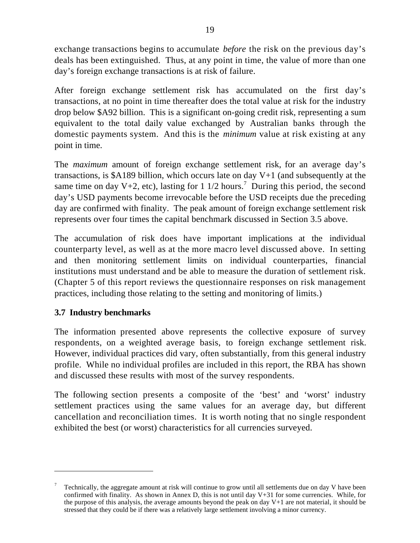exchange transactions begins to accumulate *before* the risk on the previous day's deals has been extinguished. Thus, at any point in time, the value of more than one day's foreign exchange transactions is at risk of failure.

After foreign exchange settlement risk has accumulated on the first day's transactions, at no point in time thereafter does the total value at risk for the industry drop below \$A92 billion. This is a significant on-going credit risk, representing a sum equivalent to the total daily value exchanged by Australian banks through the domestic payments system. And this is the *minimum* value at risk existing at any point in time.

The *maximum* amount of foreign exchange settlement risk, for an average day's transactions, is \$A189 billion, which occurs late on day V+1 (and subsequently at the same time on day V+2, etc), lasting for 1 1/2 hours.<sup>7</sup> During this period, the second day's USD payments become irrevocable before the USD receipts due the preceding day are confirmed with finality. The peak amount of foreign exchange settlement risk represents over four times the capital benchmark discussed in Section 3.5 above.

The accumulation of risk does have important implications at the individual counterparty level, as well as at the more macro level discussed above. In setting and then monitoring settlement limits on individual counterparties, financial institutions must understand and be able to measure the duration of settlement risk. (Chapter 5 of this report reviews the questionnaire responses on risk management practices, including those relating to the setting and monitoring of limits.)

#### **3.7 Industry benchmarks**

 $\overline{a}$ 

The information presented above represents the collective exposure of survey respondents, on a weighted average basis, to foreign exchange settlement risk. However, individual practices did vary, often substantially, from this general industry profile. While no individual profiles are included in this report, the RBA has shown and discussed these results with most of the survey respondents.

The following section presents a composite of the 'best' and 'worst' industry settlement practices using the same values for an average day, but different cancellation and reconciliation times. It is worth noting that no single respondent exhibited the best (or worst) characteristics for all currencies surveyed.

<sup>7</sup> Technically, the aggregate amount at risk will continue to grow until all settlements due on day V have been confirmed with finality. As shown in Annex D, this is not until day V+31 for some currencies. While, for the purpose of this analysis, the average amounts beyond the peak on day V+1 are not material, it should be stressed that they could be if there was a relatively large settlement involving a minor currency.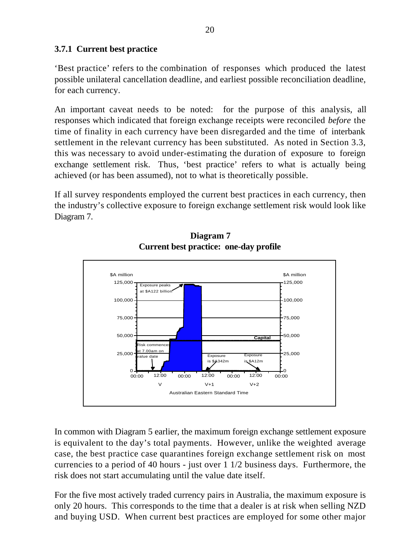#### **3.7.1 Current best practice**

'Best practice' refers to the combination of responses which produced the latest possible unilateral cancellation deadline, and earliest possible reconciliation deadline, for each currency.

An important caveat needs to be noted: for the purpose of this analysis, all responses which indicated that foreign exchange receipts were reconciled *before* the time of finality in each currency have been disregarded and the time of interbank settlement in the relevant currency has been substituted. As noted in Section 3.3, this was necessary to avoid under-estimating the duration of exposure to foreign exchange settlement risk. Thus, 'best practice' refers to what is actually being achieved (or has been assumed), not to what is theoretically possible.

If all survey respondents employed the current best practices in each currency, then the industry's collective exposure to foreign exchange settlement risk would look like Diagram 7.



**Diagram 7 Current best practice: one-day profile**

In common with Diagram 5 earlier, the maximum foreign exchange settlement exposure is equivalent to the day's total payments. However, unlike the weighted average case, the best practice case quarantines foreign exchange settlement risk on most currencies to a period of 40 hours - just over 1 1/2 business days. Furthermore, the risk does not start accumulating until the value date itself.

For the five most actively traded currency pairs in Australia, the maximum exposure is only 20 hours. This corresponds to the time that a dealer is at risk when selling NZD and buying USD. When current best practices are employed for some other major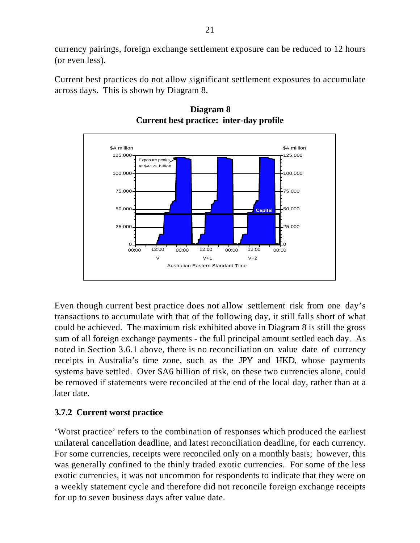currency pairings, foreign exchange settlement exposure can be reduced to 12 hours (or even less).

Current best practices do not allow significant settlement exposures to accumulate across days. This is shown by Diagram 8.



#### **Diagram 8 Current best practice: inter-day profile**

Even though current best practice does not allow settlement risk from one day's transactions to accumulate with that of the following day, it still falls short of what could be achieved. The maximum risk exhibited above in Diagram 8 is still the gross sum of all foreign exchange payments - the full principal amount settled each day. As noted in Section 3.6.1 above, there is no reconciliation on value date of currency receipts in Australia's time zone, such as the JPY and HKD, whose payments systems have settled. Over \$A6 billion of risk, on these two currencies alone, could be removed if statements were reconciled at the end of the local day, rather than at a later date.

#### **3.7.2 Current worst practice**

'Worst practice' refers to the combination of responses which produced the earliest unilateral cancellation deadline, and latest reconciliation deadline, for each currency. For some currencies, receipts were reconciled only on a monthly basis; however, this was generally confined to the thinly traded exotic currencies. For some of the less exotic currencies, it was not uncommon for respondents to indicate that they were on a weekly statement cycle and therefore did not reconcile foreign exchange receipts for up to seven business days after value date.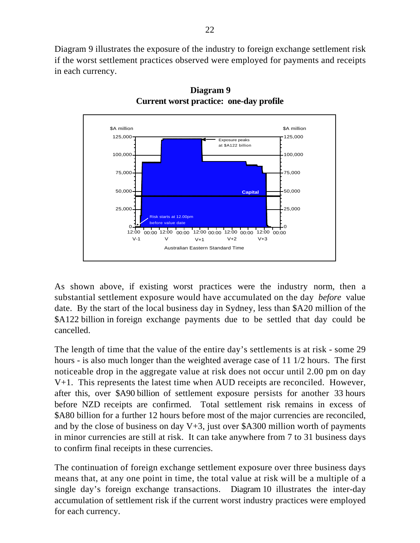Diagram 9 illustrates the exposure of the industry to foreign exchange settlement risk if the worst settlement practices observed were employed for payments and receipts in each currency.



**Diagram 9 Current worst practice: one-day profile**

As shown above, if existing worst practices were the industry norm, then a substantial settlement exposure would have accumulated on the day *before* value date. By the start of the local business day in Sydney, less than \$A20 million of the \$A122 billion in foreign exchange payments due to be settled that day could be cancelled.

The length of time that the value of the entire day's settlements is at risk - some 29 hours - is also much longer than the weighted average case of 11 1/2 hours. The first noticeable drop in the aggregate value at risk does not occur until 2.00 pm on day V+1. This represents the latest time when AUD receipts are reconciled. However, after this, over \$A90 billion of settlement exposure persists for another 33 hours before NZD receipts are confirmed. Total settlement risk remains in excess of \$A80 billion for a further 12 hours before most of the major currencies are reconciled, and by the close of business on day  $V+3$ , just over \$A300 million worth of payments in minor currencies are still at risk. It can take anywhere from 7 to 31 business days to confirm final receipts in these currencies.

The continuation of foreign exchange settlement exposure over three business days means that, at any one point in time, the total value at risk will be a multiple of a single day's foreign exchange transactions. Diagram 10 illustrates the inter-day accumulation of settlement risk if the current worst industry practices were employed for each currency.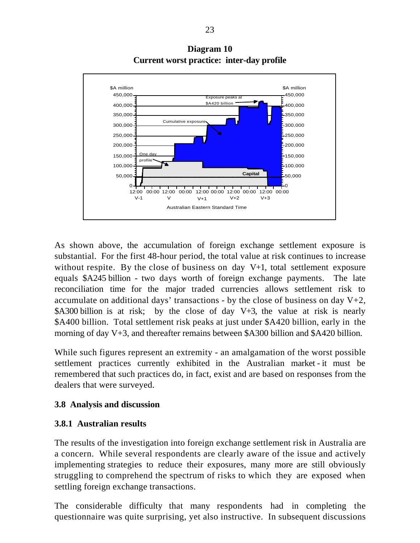

**Diagram 10 Current worst practice: inter-day profile**

As shown above, the accumulation of foreign exchange settlement exposure is substantial. For the first 48-hour period, the total value at risk continues to increase without respite. By the close of business on day V+1, total settlement exposure equals \$A245 billion - two days worth of foreign exchange payments. The late reconciliation time for the major traded currencies allows settlement risk to accumulate on additional days' transactions - by the close of business on day  $V+2$ , \$A300 billion is at risk; by the close of day V+3, the value at risk is nearly \$A400 billion. Total settlement risk peaks at just under \$A420 billion, early in the morning of day V+3, and thereafter remains between \$A300 billion and \$A420 billion.

While such figures represent an extremity - an amalgamation of the worst possible settlement practices currently exhibited in the Australian market - it must be remembered that such practices do, in fact, exist and are based on responses from the dealers that were surveyed.

#### **3.8 Analysis and discussion**

#### **3.8.1 Australian results**

The results of the investigation into foreign exchange settlement risk in Australia are a concern. While several respondents are clearly aware of the issue and actively implementing strategies to reduce their exposures, many more are still obviously struggling to comprehend the spectrum of risks to which they are exposed when settling foreign exchange transactions.

The considerable difficulty that many respondents had in completing the questionnaire was quite surprising, yet also instructive. In subsequent discussions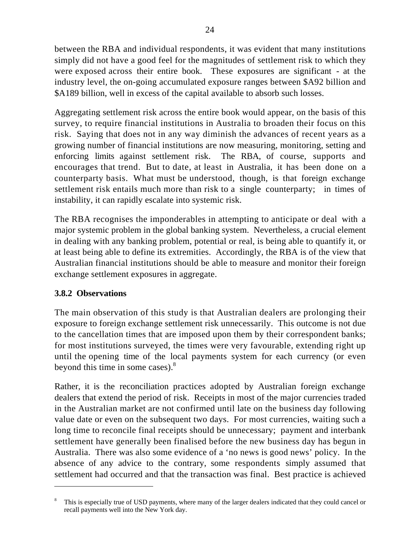between the RBA and individual respondents, it was evident that many institutions simply did not have a good feel for the magnitudes of settlement risk to which they were exposed across their entire book. These exposures are significant - at the industry level, the on-going accumulated exposure ranges between \$A92 billion and \$A189 billion, well in excess of the capital available to absorb such losses.

Aggregating settlement risk across the entire book would appear, on the basis of this survey, to require financial institutions in Australia to broaden their focus on this risk. Saying that does not in any way diminish the advances of recent years as a growing number of financial institutions are now measuring, monitoring, setting and enforcing limits against settlement risk. The RBA, of course, supports and encourages that trend. But to date, at least in Australia, it has been done on a counterparty basis. What must be understood, though, is that foreign exchange settlement risk entails much more than risk to a single counterparty; in times of instability, it can rapidly escalate into systemic risk.

The RBA recognises the imponderables in attempting to anticipate or deal with a major systemic problem in the global banking system. Nevertheless, a crucial element in dealing with any banking problem, potential or real, is being able to quantify it, or at least being able to define its extremities. Accordingly, the RBA is of the view that Australian financial institutions should be able to measure and monitor their foreign exchange settlement exposures in aggregate.

#### **3.8.2 Observations**

 $\overline{\phantom{0}}$ 

The main observation of this study is that Australian dealers are prolonging their exposure to foreign exchange settlement risk unnecessarily. This outcome is not due to the cancellation times that are imposed upon them by their correspondent banks; for most institutions surveyed, the times were very favourable, extending right up until the opening time of the local payments system for each currency (or even beyond this time in some cases).<sup>8</sup>

Rather, it is the reconciliation practices adopted by Australian foreign exchange dealers that extend the period of risk. Receipts in most of the major currencies traded in the Australian market are not confirmed until late on the business day following value date or even on the subsequent two days. For most currencies, waiting such a long time to reconcile final receipts should be unnecessary; payment and interbank settlement have generally been finalised before the new business day has begun in Australia. There was also some evidence of a 'no news is good news' policy. In the absence of any advice to the contrary, some respondents simply assumed that settlement had occurred and that the transaction was final. Best practice is achieved

<sup>8</sup> This is especially true of USD payments, where many of the larger dealers indicated that they could cancel or recall payments well into the New York day.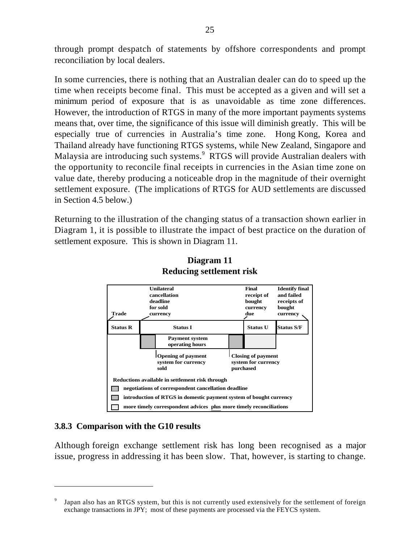through prompt despatch of statements by offshore correspondents and prompt reconciliation by local dealers.

In some currencies, there is nothing that an Australian dealer can do to speed up the time when receipts become final. This must be accepted as a given and will set a minimum period of exposure that is as unavoidable as time zone differences. However, the introduction of RTGS in many of the more important payments systems means that, over time, the significance of this issue will diminish greatly. This will be especially true of currencies in Australia's time zone. Hong Kong, Korea and Thailand already have functioning RTGS systems, while New Zealand, Singapore and Malaysia are introducing such systems.<sup>9</sup> RTGS will provide Australian dealers with the opportunity to reconcile final receipts in currencies in the Asian time zone on value date, thereby producing a noticeable drop in the magnitude of their overnight settlement exposure. (The implications of RTGS for AUD settlements are discussed in Section 4.5 below.)

Returning to the illustration of the changing status of a transaction shown earlier in Diagram 1, it is possible to illustrate the impact of best practice on the duration of settlement exposure. This is shown in Diagram 11.



#### **Diagram 11 Reducing settlement risk**

#### **3.8.3 Comparison with the G10 results**

 $\overline{\phantom{0}}$ 

Although foreign exchange settlement risk has long been recognised as a major issue, progress in addressing it has been slow. That, however, is starting to change.

<sup>9</sup> Japan also has an RTGS system, but this is not currently used extensively for the settlement of foreign exchange transactions in JPY; most of these payments are processed via the FEYCS system.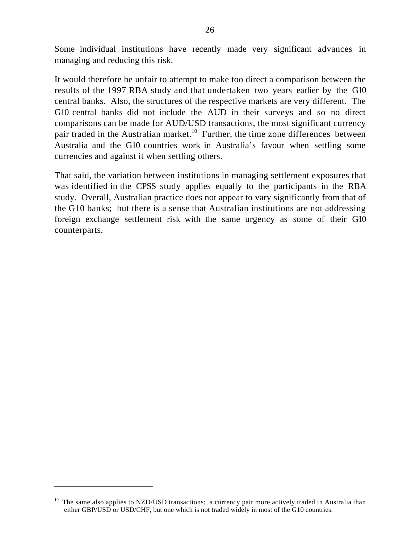Some individual institutions have recently made very significant advances in managing and reducing this risk.

It would therefore be unfair to attempt to make too direct a comparison between the results of the 1997 RBA study and that undertaken two years earlier by the G10 central banks. Also, the structures of the respective markets are very different. The G10 central banks did not include the AUD in their surveys and so no direct comparisons can be made for AUD/USD transactions, the most significant currency pair traded in the Australian market.<sup>10</sup> Further, the time zone differences between Australia and the G10 countries work in Australia's favour when settling some currencies and against it when settling others.

That said, the variation between institutions in managing settlement exposures that was identified in the CPSS study applies equally to the participants in the RBA study. Overall, Australian practice does not appear to vary significantly from that of the G10 banks; but there is a sense that Australian institutions are not addressing foreign exchange settlement risk with the same urgency as some of their G10 counterparts.

 $\overline{\phantom{0}}$ 

The same also applies to NZD/USD transactions; a currency pair more actively traded in Australia than either GBP/USD or USD/CHF, but one which is not traded widely in most of the G10 countries.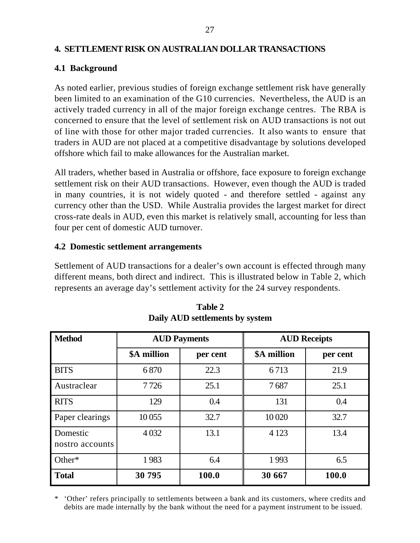#### **4. SETTLEMENT RISK ON AUSTRALIAN DOLLAR TRANSACTIONS**

#### **4.1 Background**

As noted earlier, previous studies of foreign exchange settlement risk have generally been limited to an examination of the G10 currencies. Nevertheless, the AUD is an actively traded currency in all of the major foreign exchange centres. The RBA is concerned to ensure that the level of settlement risk on AUD transactions is not out of line with those for other major traded currencies. It also wants to ensure that traders in AUD are not placed at a competitive disadvantage by solutions developed offshore which fail to make allowances for the Australian market.

All traders, whether based in Australia or offshore, face exposure to foreign exchange settlement risk on their AUD transactions. However, even though the AUD is traded in many countries, it is not widely quoted - and therefore settled - against any currency other than the USD. While Australia provides the largest market for direct cross-rate deals in AUD, even this market is relatively small, accounting for less than four per cent of domestic AUD turnover.

#### **4.2 Domestic settlement arrangements**

Settlement of AUD transactions for a dealer's own account is effected through many different means, both direct and indirect. This is illustrated below in Table 2, which represents an average day's settlement activity for the 24 survey respondents.

| <b>Method</b>               |             | <b>AUD Payments</b> | <b>AUD Receipts</b> |          |  |
|-----------------------------|-------------|---------------------|---------------------|----------|--|
|                             | \$A million | per cent            | \$A million         | per cent |  |
| <b>BITS</b>                 | 6870        | 22.3                | 6713                | 21.9     |  |
| Austraclear                 | 7726        | 25.1                | 7687                | 25.1     |  |
| <b>RITS</b>                 | 129         | 0.4                 | 131                 | 0.4      |  |
| Paper clearings             | 10055       | 32.7                | 10 020              | 32.7     |  |
| Domestic<br>nostro accounts | 4 0 3 2     | 13.1                | 4 1 2 3             | 13.4     |  |
| Other $*$                   | 1983        | 6.4                 | 1993                | 6.5      |  |
| <b>Total</b>                | 30 795      | 100.0               | 30 667              | 100.0    |  |

**Table 2 Daily AUD settlements by system**

\* 'Other' refers principally to settlements between a bank and its customers, where credits and debits are made internally by the bank without the need for a payment instrument to be issued.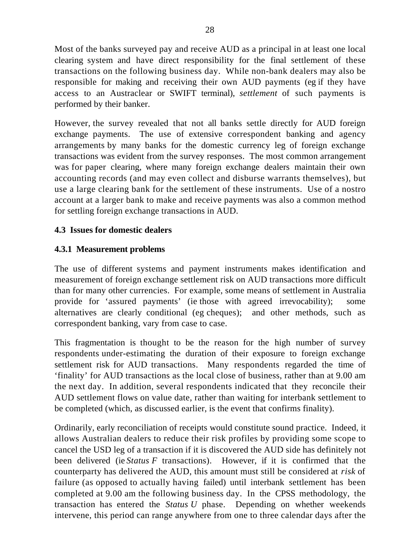Most of the banks surveyed pay and receive AUD as a principal in at least one local clearing system and have direct responsibility for the final settlement of these transactions on the following business day. While non-bank dealers may also be responsible for making and receiving their own AUD payments (eg if they have access to an Austraclear or SWIFT terminal), *settlement* of such payments is performed by their banker.

However, the survey revealed that not all banks settle directly for AUD foreign exchange payments. The use of extensive correspondent banking and agency arrangements by many banks for the domestic currency leg of foreign exchange transactions was evident from the survey responses. The most common arrangement was for paper clearing, where many foreign exchange dealers maintain their own accounting records (and may even collect and disburse warrants themselves), but use a large clearing bank for the settlement of these instruments. Use of a nostro account at a larger bank to make and receive payments was also a common method for settling foreign exchange transactions in AUD.

#### **4.3 Issues for domestic dealers**

#### **4.3.1 Measurement problems**

The use of different systems and payment instruments makes identification and measurement of foreign exchange settlement risk on AUD transactions more difficult than for many other currencies. For example, some means of settlement in Australia provide for 'assured payments' (ie those with agreed irrevocability); some alternatives are clearly conditional (eg cheques); and other methods, such as correspondent banking, vary from case to case.

This fragmentation is thought to be the reason for the high number of survey respondents under-estimating the duration of their exposure to foreign exchange settlement risk for AUD transactions. Many respondents regarded the time of 'finality' for AUD transactions as the local close of business, rather than at 9.00 am the next day. In addition, several respondents indicated that they reconcile their AUD settlement flows on value date, rather than waiting for interbank settlement to be completed (which, as discussed earlier, is the event that confirms finality).

Ordinarily, early reconciliation of receipts would constitute sound practice. Indeed, it allows Australian dealers to reduce their risk profiles by providing some scope to cancel the USD leg of a transaction if it is discovered the AUD side has definitely not been delivered (ie *Status F* transactions). However, if it is confirmed that the counterparty has delivered the AUD, this amount must still be considered at *risk* of failure (as opposed to actually having failed) until interbank settlement has been completed at 9.00 am the following business day. In the CPSS methodology, the transaction has entered the *Status U* phase. Depending on whether weekends intervene, this period can range anywhere from one to three calendar days after the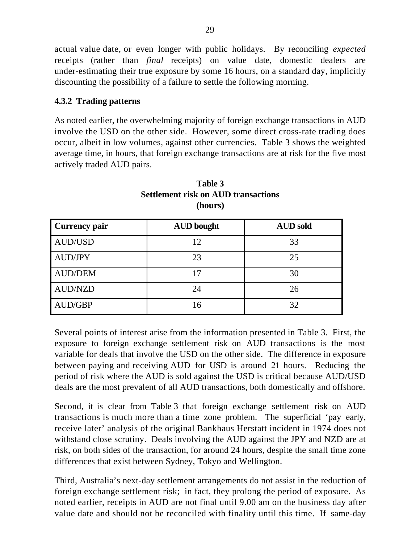actual value date, or even longer with public holidays. By reconciling *expected* receipts (rather than *final* receipts) on value date, domestic dealers are under-estimating their true exposure by some 16 hours, on a standard day, implicitly discounting the possibility of a failure to settle the following morning.

#### **4.3.2 Trading patterns**

As noted earlier, the overwhelming majority of foreign exchange transactions in AUD involve the USD on the other side. However, some direct cross-rate trading does occur, albeit in low volumes, against other currencies. Table 3 shows the weighted average time, in hours, that foreign exchange transactions are at risk for the five most actively traded AUD pairs.

| <b>Currency pair</b> | <b>AUD</b> bought | <b>AUD</b> sold |
|----------------------|-------------------|-----------------|
| <b>AUD/USD</b>       | 12                | 33              |
| <b>AUD/JPY</b>       | 23                | 25              |
| <b>AUD/DEM</b>       | 17                | 30              |
| <b>AUD/NZD</b>       | 24                | 26              |
| <b>AUD/GBP</b>       | 16                | 32              |

#### **Table 3 Settlement risk on AUD transactions (hours)**

Several points of interest arise from the information presented in Table 3. First, the exposure to foreign exchange settlement risk on AUD transactions is the most variable for deals that involve the USD on the other side. The difference in exposure between paying and receiving AUD for USD is around 21 hours. Reducing the period of risk where the AUD is sold against the USD is critical because AUD/USD deals are the most prevalent of all AUD transactions, both domestically and offshore.

Second, it is clear from Table 3 that foreign exchange settlement risk on AUD transactions is much more than a time zone problem. The superficial 'pay early, receive later' analysis of the original Bankhaus Herstatt incident in 1974 does not withstand close scrutiny. Deals involving the AUD against the JPY and NZD are at risk, on both sides of the transaction, for around 24 hours, despite the small time zone differences that exist between Sydney, Tokyo and Wellington.

Third, Australia's next-day settlement arrangements do not assist in the reduction of foreign exchange settlement risk; in fact, they prolong the period of exposure. As noted earlier, receipts in AUD are not final until 9.00 am on the business day after value date and should not be reconciled with finality until this time. If same-day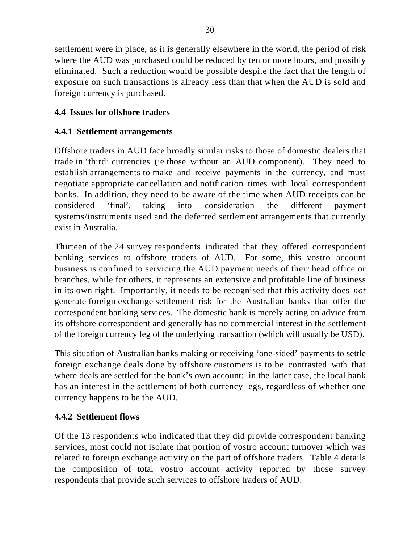settlement were in place, as it is generally elsewhere in the world, the period of risk where the AUD was purchased could be reduced by ten or more hours, and possibly eliminated. Such a reduction would be possible despite the fact that the length of exposure on such transactions is already less than that when the AUD is sold and foreign currency is purchased.

#### **4.4 Issues for offshore traders**

#### **4.4.1 Settlement arrangements**

Offshore traders in AUD face broadly similar risks to those of domestic dealers that trade in 'third' currencies (ie those without an AUD component). They need to establish arrangements to make and receive payments in the currency, and must negotiate appropriate cancellation and notification times with local correspondent banks. In addition, they need to be aware of the time when AUD receipts can be considered 'final', taking into consideration the different payment systems/instruments used and the deferred settlement arrangements that currently exist in Australia.

Thirteen of the 24 survey respondents indicated that they offered correspondent banking services to offshore traders of AUD. For some, this vostro account business is confined to servicing the AUD payment needs of their head office or branches, while for others, it represents an extensive and profitable line of business in its own right. Importantly, it needs to be recognised that this activity does *not* generate foreign exchange settlement risk for the Australian banks that offer the correspondent banking services. The domestic bank is merely acting on advice from its offshore correspondent and generally has no commercial interest in the settlement of the foreign currency leg of the underlying transaction (which will usually be USD).

This situation of Australian banks making or receiving 'one-sided' payments to settle foreign exchange deals done by offshore customers is to be contrasted with that where deals are settled for the bank's own account: in the latter case, the local bank has an interest in the settlement of both currency legs, regardless of whether one currency happens to be the AUD.

#### **4.4.2 Settlement flows**

Of the 13 respondents who indicated that they did provide correspondent banking services, most could not isolate that portion of vostro account turnover which was related to foreign exchange activity on the part of offshore traders. Table 4 details the composition of total vostro account activity reported by those survey respondents that provide such services to offshore traders of AUD.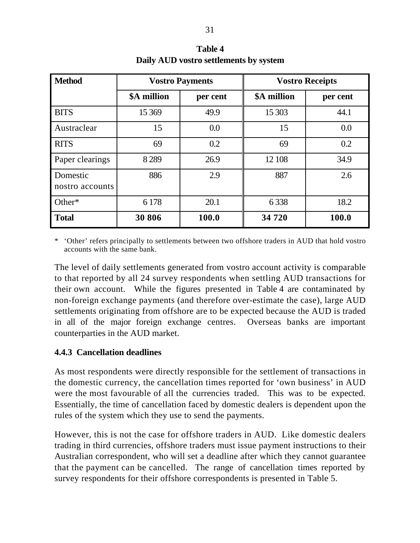| <b>Method</b>               |             | <b>Vostro Payments</b> | <b>Vostro Receipts</b> |          |  |
|-----------------------------|-------------|------------------------|------------------------|----------|--|
|                             | \$A million | per cent               | \$A million            | per cent |  |
| <b>BITS</b>                 | 15 3 69     | 49.9                   | 15 30 3                | 44.1     |  |
| Austraclear                 | 15          | 0.0                    | 15                     | 0.0      |  |
| <b>RITS</b>                 | 69          | 0.2                    | 69                     | 0.2      |  |
| Paper clearings             | 8289        | 26.9                   | 12 108                 | 34.9     |  |
| Domestic<br>nostro accounts | 886         | 2.9                    | 887                    | 2.6      |  |
| Other*                      | 6 1 7 8     | 20.1                   | 6338                   | 18.2     |  |
| <b>Total</b>                | 30 806      | 100.0                  | 34 720                 | 100.0    |  |

**Table 4 Daily AUD vostro settlements by system**

\* 'Other' refers principally to settlements between two offshore traders in AUD that hold vostro accounts with the same bank.

The level of daily settlements generated from vostro account activity is comparable to that reported by all 24 survey respondents when settling AUD transactions for their own account. While the figures presented in Table 4 are contaminated by non-foreign exchange payments (and therefore over-estimate the case), large AUD settlements originating from offshore are to be expected because the AUD is traded in all of the major foreign exchange centres. Overseas banks are important counterparties in the AUD market.

#### **4.4.3 Cancellation deadlines**

As most respondents were directly responsible for the settlement of transactions in the domestic currency, the cancellation times reported for 'own business' in AUD were the most favourable of all the currencies traded. This was to be expected. Essentially, the time of cancellation faced by domestic dealers is dependent upon the rules of the system which they use to send the payments.

However, this is not the case for offshore traders in AUD. Like domestic dealers trading in third currencies, offshore traders must issue payment instructions to their Australian correspondent, who will set a deadline after which they cannot guarantee that the payment can be cancelled. The range of cancellation times reported by survey respondents for their offshore correspondents is presented in Table 5.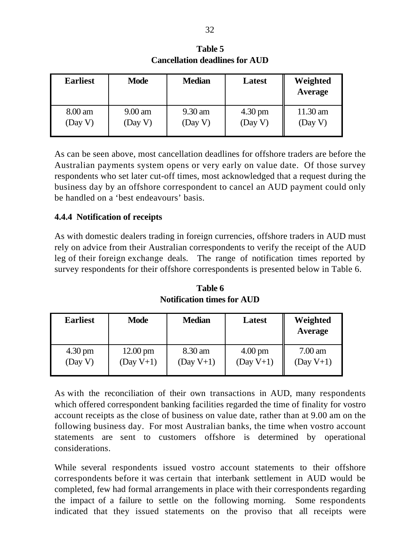| <b>Earliest</b> | <b>Mode</b>       | <b>Median</b> | Latest            | Weighted<br>Average |
|-----------------|-------------------|---------------|-------------------|---------------------|
| 8.00 am         | $9.00 \text{ am}$ | 9.30 am       | $4.30 \text{ pm}$ | $11.30$ am          |
| (Day V)         | (Day V)           | (Day V)       | (Day V)           | (Day V)             |

**Table 5 Cancellation deadlines for AUD**

As can be seen above, most cancellation deadlines for offshore traders are before the Australian payments system opens or very early on value date. Of those survey respondents who set later cut-off times, most acknowledged that a request during the business day by an offshore correspondent to cancel an AUD payment could only be handled on a 'best endeavours' basis.

#### **4.4.4 Notification of receipts**

As with domestic dealers trading in foreign currencies, offshore traders in AUD must rely on advice from their Australian correspondents to verify the receipt of the AUD leg of their foreign exchange deals. The range of notification times reported by survey respondents for their offshore correspondents is presented below in Table 6.

**Table 6 Notification times for AUD**

| <b>Earliest</b>   | <b>Mode</b>        | <b>Median</b> | Latest            | Weighted<br>Average |  |
|-------------------|--------------------|---------------|-------------------|---------------------|--|
| $4.30 \text{ pm}$ | $12.00 \text{ pm}$ | 8.30 am       | $4.00 \text{ pm}$ | $7.00 \text{ am}$   |  |
| (Day V)           | $(Day V+1)$        | $(Day V+1)$   | $(Day V+1)$       | $(Day V+1)$         |  |

As with the reconciliation of their own transactions in AUD, many respondents which offered correspondent banking facilities regarded the time of finality for vostro account receipts as the close of business on value date, rather than at 9.00 am on the following business day. For most Australian banks, the time when vostro account statements are sent to customers offshore is determined by operational considerations.

While several respondents issued vostro account statements to their offshore correspondents before it was certain that interbank settlement in AUD would be completed, few had formal arrangements in place with their correspondents regarding the impact of a failure to settle on the following morning. Some respondents indicated that they issued statements on the proviso that all receipts were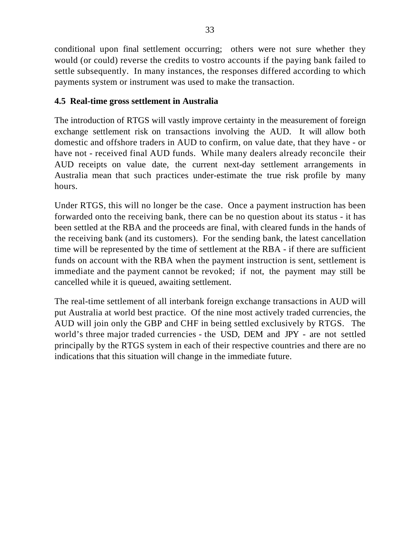conditional upon final settlement occurring; others were not sure whether they would (or could) reverse the credits to vostro accounts if the paying bank failed to settle subsequently. In many instances, the responses differed according to which payments system or instrument was used to make the transaction.

#### **4.5 Real-time gross settlement in Australia**

The introduction of RTGS will vastly improve certainty in the measurement of foreign exchange settlement risk on transactions involving the AUD. It will allow both domestic and offshore traders in AUD to confirm, on value date, that they have - or have not - received final AUD funds. While many dealers already reconcile their AUD receipts on value date, the current next-day settlement arrangements in Australia mean that such practices under-estimate the true risk profile by many hours.

Under RTGS, this will no longer be the case. Once a payment instruction has been forwarded onto the receiving bank, there can be no question about its status - it has been settled at the RBA and the proceeds are final, with cleared funds in the hands of the receiving bank (and its customers). For the sending bank, the latest cancellation time will be represented by the time of settlement at the RBA - if there are sufficient funds on account with the RBA when the payment instruction is sent, settlement is immediate and the payment cannot be revoked; if not, the payment may still be cancelled while it is queued, awaiting settlement.

The real-time settlement of all interbank foreign exchange transactions in AUD will put Australia at world best practice. Of the nine most actively traded currencies, the AUD will join only the GBP and CHF in being settled exclusively by RTGS. The world's three major traded currencies - the USD, DEM and JPY - are not settled principally by the RTGS system in each of their respective countries and there are no indications that this situation will change in the immediate future.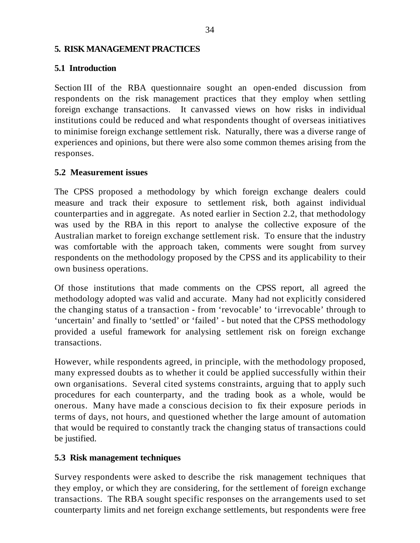#### **5. RISK MANAGEMENT PRACTICES**

#### **5.1 Introduction**

Section III of the RBA questionnaire sought an open-ended discussion from respondents on the risk management practices that they employ when settling foreign exchange transactions. It canvassed views on how risks in individual institutions could be reduced and what respondents thought of overseas initiatives to minimise foreign exchange settlement risk. Naturally, there was a diverse range of experiences and opinions, but there were also some common themes arising from the responses.

#### **5.2 Measurement issues**

The CPSS proposed a methodology by which foreign exchange dealers could measure and track their exposure to settlement risk, both against individual counterparties and in aggregate. As noted earlier in Section 2.2, that methodology was used by the RBA in this report to analyse the collective exposure of the Australian market to foreign exchange settlement risk. To ensure that the industry was comfortable with the approach taken, comments were sought from survey respondents on the methodology proposed by the CPSS and its applicability to their own business operations.

Of those institutions that made comments on the CPSS report, all agreed the methodology adopted was valid and accurate. Many had not explicitly considered the changing status of a transaction - from 'revocable' to 'irrevocable' through to 'uncertain' and finally to 'settled' or 'failed' - but noted that the CPSS methodology provided a useful framework for analysing settlement risk on foreign exchange transactions.

However, while respondents agreed, in principle, with the methodology proposed, many expressed doubts as to whether it could be applied successfully within their own organisations. Several cited systems constraints, arguing that to apply such procedures for each counterparty, and the trading book as a whole, would be onerous. Many have made a conscious decision to fix their exposure periods in terms of days, not hours, and questioned whether the large amount of automation that would be required to constantly track the changing status of transactions could be justified.

#### **5.3 Risk management techniques**

Survey respondents were asked to describe the risk management techniques that they employ, or which they are considering, for the settlement of foreign exchange transactions. The RBA sought specific responses on the arrangements used to set counterparty limits and net foreign exchange settlements, but respondents were free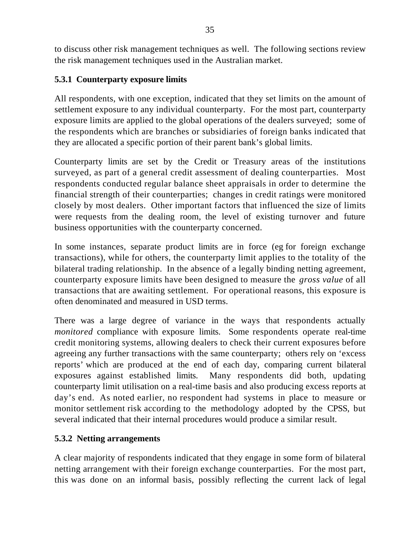to discuss other risk management techniques as well. The following sections review the risk management techniques used in the Australian market.

#### **5.3.1 Counterparty exposure limits**

All respondents, with one exception, indicated that they set limits on the amount of settlement exposure to any individual counterparty. For the most part, counterparty exposure limits are applied to the global operations of the dealers surveyed; some of the respondents which are branches or subsidiaries of foreign banks indicated that they are allocated a specific portion of their parent bank's global limits.

Counterparty limits are set by the Credit or Treasury areas of the institutions surveyed, as part of a general credit assessment of dealing counterparties. Most respondents conducted regular balance sheet appraisals in order to determine the financial strength of their counterparties; changes in credit ratings were monitored closely by most dealers. Other important factors that influenced the size of limits were requests from the dealing room, the level of existing turnover and future business opportunities with the counterparty concerned.

In some instances, separate product limits are in force (eg for foreign exchange transactions), while for others, the counterparty limit applies to the totality of the bilateral trading relationship. In the absence of a legally binding netting agreement, counterparty exposure limits have been designed to measure the *gross value* of all transactions that are awaiting settlement. For operational reasons, this exposure is often denominated and measured in USD terms.

There was a large degree of variance in the ways that respondents actually *monitored* compliance with exposure limits. Some respondents operate real-time credit monitoring systems, allowing dealers to check their current exposures before agreeing any further transactions with the same counterparty; others rely on 'excess reports' which are produced at the end of each day, comparing current bilateral exposures against established limits. Many respondents did both, updating counterparty limit utilisation on a real-time basis and also producing excess reports at day's end. As noted earlier, no respondent had systems in place to measure or monitor settlement risk according to the methodology adopted by the CPSS, but several indicated that their internal procedures would produce a similar result.

#### **5.3.2 Netting arrangements**

A clear majority of respondents indicated that they engage in some form of bilateral netting arrangement with their foreign exchange counterparties. For the most part, this was done on an informal basis, possibly reflecting the current lack of legal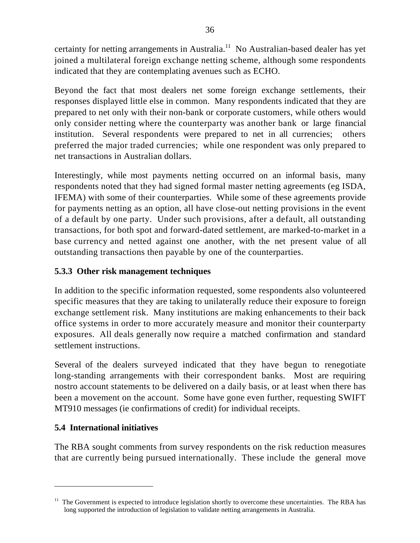certainty for netting arrangements in Australia.<sup>11</sup> No Australian-based dealer has yet joined a multilateral foreign exchange netting scheme, although some respondents indicated that they are contemplating avenues such as ECHO.

Beyond the fact that most dealers net some foreign exchange settlements, their responses displayed little else in common. Many respondents indicated that they are prepared to net only with their non-bank or corporate customers, while others would only consider netting where the counterparty was another bank or large financial institution. Several respondents were prepared to net in all currencies; others preferred the major traded currencies; while one respondent was only prepared to net transactions in Australian dollars.

Interestingly, while most payments netting occurred on an informal basis, many respondents noted that they had signed formal master netting agreements (eg ISDA, IFEMA) with some of their counterparties. While some of these agreements provide for payments netting as an option, all have close-out netting provisions in the event of a default by one party. Under such provisions, after a default, all outstanding transactions, for both spot and forward-dated settlement, are marked-to-market in a base currency and netted against one another, with the net present value of all outstanding transactions then payable by one of the counterparties.

#### **5.3.3 Other risk management techniques**

In addition to the specific information requested, some respondents also volunteered specific measures that they are taking to unilaterally reduce their exposure to foreign exchange settlement risk. Many institutions are making enhancements to their back office systems in order to more accurately measure and monitor their counterparty exposures. All deals generally now require a matched confirmation and standard settlement instructions.

Several of the dealers surveyed indicated that they have begun to renegotiate long-standing arrangements with their correspondent banks. Most are requiring nostro account statements to be delivered on a daily basis, or at least when there has been a movement on the account. Some have gone even further, requesting SWIFT MT910 messages (ie confirmations of credit) for individual receipts.

#### **5.4 International initiatives**

 $\overline{\phantom{0}}$ 

The RBA sought comments from survey respondents on the risk reduction measures that are currently being pursued internationally. These include the general move

 $11$  The Government is expected to introduce legislation shortly to overcome these uncertainties. The RBA has long supported the introduction of legislation to validate netting arrangements in Australia.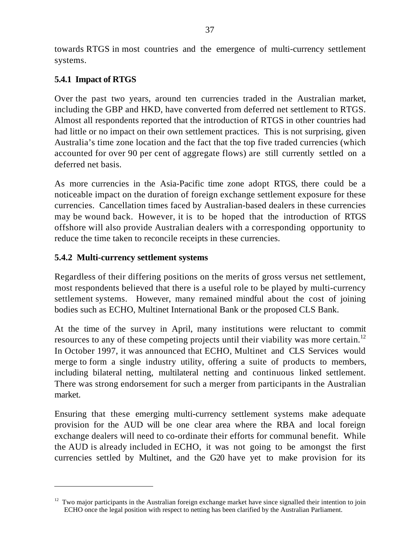towards RTGS in most countries and the emergence of multi-currency settlement systems.

#### **5.4.1 Impact of RTGS**

 $\overline{\phantom{0}}$ 

Over the past two years, around ten currencies traded in the Australian market, including the GBP and HKD, have converted from deferred net settlement to RTGS. Almost all respondents reported that the introduction of RTGS in other countries had had little or no impact on their own settlement practices. This is not surprising, given Australia's time zone location and the fact that the top five traded currencies (which accounted for over 90 per cent of aggregate flows) are still currently settled on a deferred net basis.

As more currencies in the Asia-Pacific time zone adopt RTGS, there could be a noticeable impact on the duration of foreign exchange settlement exposure for these currencies. Cancellation times faced by Australian-based dealers in these currencies may be wound back. However, it is to be hoped that the introduction of RTGS offshore will also provide Australian dealers with a corresponding opportunity to reduce the time taken to reconcile receipts in these currencies.

#### **5.4.2 Multi-currency settlement systems**

Regardless of their differing positions on the merits of gross versus net settlement, most respondents believed that there is a useful role to be played by multi-currency settlement systems. However, many remained mindful about the cost of joining bodies such as ECHO, Multinet International Bank or the proposed CLS Bank.

At the time of the survey in April, many institutions were reluctant to commit resources to any of these competing projects until their viability was more certain.<sup>12</sup> In October 1997, it was announced that ECHO, Multinet and CLS Services would merge to form a single industry utility, offering a suite of products to members, including bilateral netting, multilateral netting and continuous linked settlement. There was strong endorsement for such a merger from participants in the Australian market.

Ensuring that these emerging multi-currency settlement systems make adequate provision for the AUD will be one clear area where the RBA and local foreign exchange dealers will need to co-ordinate their efforts for communal benefit. While the AUD is already included in ECHO, it was not going to be amongst the first currencies settled by Multinet, and the G20 have yet to make provision for its

<sup>&</sup>lt;sup>12</sup> Two major participants in the Australian foreign exchange market have since signalled their intention to join ECHO once the legal position with respect to netting has been clarified by the Australian Parliament.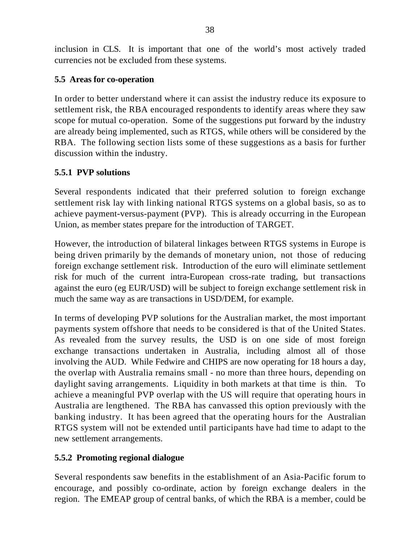inclusion in CLS. It is important that one of the world's most actively traded currencies not be excluded from these systems.

#### **5.5 Areas for co-operation**

In order to better understand where it can assist the industry reduce its exposure to settlement risk, the RBA encouraged respondents to identify areas where they saw scope for mutual co-operation. Some of the suggestions put forward by the industry are already being implemented, such as RTGS, while others will be considered by the RBA. The following section lists some of these suggestions as a basis for further discussion within the industry.

#### **5.5.1 PVP solutions**

Several respondents indicated that their preferred solution to foreign exchange settlement risk lay with linking national RTGS systems on a global basis, so as to achieve payment-versus-payment (PVP). This is already occurring in the European Union, as member states prepare for the introduction of TARGET.

However, the introduction of bilateral linkages between RTGS systems in Europe is being driven primarily by the demands of monetary union, not those of reducing foreign exchange settlement risk. Introduction of the euro will eliminate settlement risk for much of the current intra-European cross-rate trading, but transactions against the euro (eg EUR/USD) will be subject to foreign exchange settlement risk in much the same way as are transactions in USD/DEM, for example.

In terms of developing PVP solutions for the Australian market, the most important payments system offshore that needs to be considered is that of the United States. As revealed from the survey results, the USD is on one side of most foreign exchange transactions undertaken in Australia, including almost all of those involving the AUD. While Fedwire and CHIPS are now operating for 18 hours a day, the overlap with Australia remains small - no more than three hours, depending on daylight saving arrangements. Liquidity in both markets at that time is thin. To achieve a meaningful PVP overlap with the US will require that operating hours in Australia are lengthened. The RBA has canvassed this option previously with the banking industry. It has been agreed that the operating hours for the Australian RTGS system will not be extended until participants have had time to adapt to the new settlement arrangements.

#### **5.5.2 Promoting regional dialogue**

Several respondents saw benefits in the establishment of an Asia-Pacific forum to encourage, and possibly co-ordinate, action by foreign exchange dealers in the region. The EMEAP group of central banks, of which the RBA is a member, could be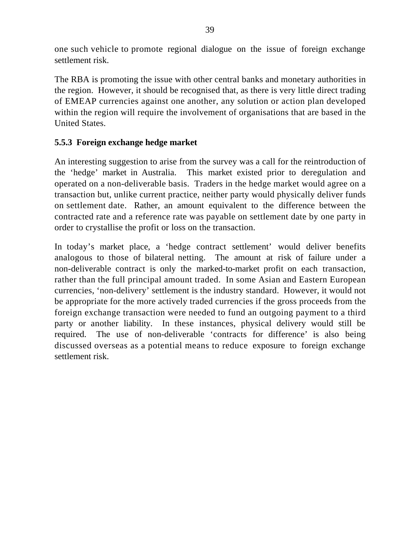one such vehicle to promote regional dialogue on the issue of foreign exchange settlement risk.

The RBA is promoting the issue with other central banks and monetary authorities in the region. However, it should be recognised that, as there is very little direct trading of EMEAP currencies against one another, any solution or action plan developed within the region will require the involvement of organisations that are based in the United States.

#### **5.5.3 Foreign exchange hedge market**

An interesting suggestion to arise from the survey was a call for the reintroduction of the 'hedge' market in Australia. This market existed prior to deregulation and operated on a non-deliverable basis. Traders in the hedge market would agree on a transaction but, unlike current practice, neither party would physically deliver funds on settlement date. Rather, an amount equivalent to the difference between the contracted rate and a reference rate was payable on settlement date by one party in order to crystallise the profit or loss on the transaction.

In today's market place, a 'hedge contract settlement' would deliver benefits analogous to those of bilateral netting. The amount at risk of failure under a non-deliverable contract is only the marked-to-market profit on each transaction, rather than the full principal amount traded. In some Asian and Eastern European currencies, 'non-delivery' settlement is the industry standard. However, it would not be appropriate for the more actively traded currencies if the gross proceeds from the foreign exchange transaction were needed to fund an outgoing payment to a third party or another liability. In these instances, physical delivery would still be required. The use of non-deliverable 'contracts for difference' is also being discussed overseas as a potential means to reduce exposure to foreign exchange settlement risk.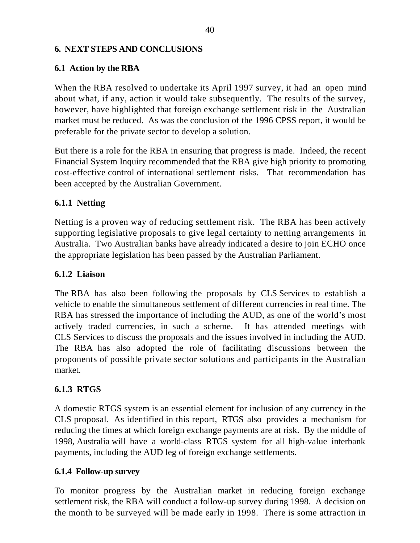#### **6. NEXT STEPS AND CONCLUSIONS**

#### **6.1 Action by the RBA**

When the RBA resolved to undertake its April 1997 survey, it had an open mind about what, if any, action it would take subsequently. The results of the survey, however, have highlighted that foreign exchange settlement risk in the Australian market must be reduced. As was the conclusion of the 1996 CPSS report, it would be preferable for the private sector to develop a solution.

But there is a role for the RBA in ensuring that progress is made. Indeed, the recent Financial System Inquiry recommended that the RBA give high priority to promoting cost-effective control of international settlement risks. That recommendation has been accepted by the Australian Government.

#### **6.1.1 Netting**

Netting is a proven way of reducing settlement risk. The RBA has been actively supporting legislative proposals to give legal certainty to netting arrangements in Australia. Two Australian banks have already indicated a desire to join ECHO once the appropriate legislation has been passed by the Australian Parliament.

#### **6.1.2 Liaison**

The RBA has also been following the proposals by CLS Services to establish a vehicle to enable the simultaneous settlement of different currencies in real time. The RBA has stressed the importance of including the AUD, as one of the world's most actively traded currencies, in such a scheme. It has attended meetings with CLS Services to discuss the proposals and the issues involved in including the AUD. The RBA has also adopted the role of facilitating discussions between the proponents of possible private sector solutions and participants in the Australian market.

#### **6.1.3 RTGS**

A domestic RTGS system is an essential element for inclusion of any currency in the CLS proposal. As identified in this report, RTGS also provides a mechanism for reducing the times at which foreign exchange payments are at risk. By the middle of 1998, Australia will have a world-class RTGS system for all high-value interbank payments, including the AUD leg of foreign exchange settlements.

#### **6.1.4 Follow-up survey**

To monitor progress by the Australian market in reducing foreign exchange settlement risk, the RBA will conduct a follow-up survey during 1998. A decision on the month to be surveyed will be made early in 1998. There is some attraction in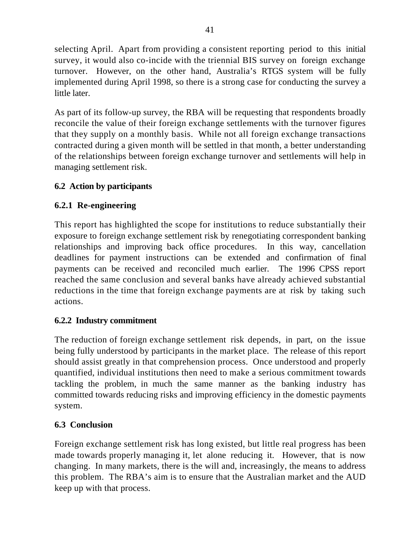selecting April. Apart from providing a consistent reporting period to this initial survey, it would also co-incide with the triennial BIS survey on foreign exchange turnover. However, on the other hand, Australia's RTGS system will be fully implemented during April 1998, so there is a strong case for conducting the survey a little later.

As part of its follow-up survey, the RBA will be requesting that respondents broadly reconcile the value of their foreign exchange settlements with the turnover figures that they supply on a monthly basis. While not all foreign exchange transactions contracted during a given month will be settled in that month, a better understanding of the relationships between foreign exchange turnover and settlements will help in managing settlement risk.

#### **6.2 Action by participants**

#### **6.2.1 Re-engineering**

This report has highlighted the scope for institutions to reduce substantially their exposure to foreign exchange settlement risk by renegotiating correspondent banking relationships and improving back office procedures. In this way, cancellation deadlines for payment instructions can be extended and confirmation of final payments can be received and reconciled much earlier. The 1996 CPSS report reached the same conclusion and several banks have already achieved substantial reductions in the time that foreign exchange payments are at risk by taking such actions.

#### **6.2.2 Industry commitment**

The reduction of foreign exchange settlement risk depends, in part, on the issue being fully understood by participants in the market place. The release of this report should assist greatly in that comprehension process. Once understood and properly quantified, individual institutions then need to make a serious commitment towards tackling the problem, in much the same manner as the banking industry has committed towards reducing risks and improving efficiency in the domestic payments system.

#### **6.3 Conclusion**

Foreign exchange settlement risk has long existed, but little real progress has been made towards properly managing it, let alone reducing it. However, that is now changing. In many markets, there is the will and, increasingly, the means to address this problem. The RBA's aim is to ensure that the Australian market and the AUD keep up with that process.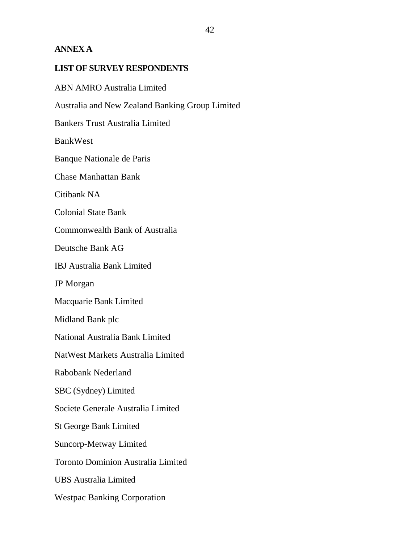#### **ANNEX A**

#### **LIST OF SURVEY RESPONDENTS**

ABN AMRO Australia Limited Australia and New Zealand Banking Group Limited Bankers Trust Australia Limited BankWest Banque Nationale de Paris Chase Manhattan Bank Citibank NA Colonial State Bank Commonwealth Bank of Australia Deutsche Bank AG IBJ Australia Bank Limited JP Morgan Macquarie Bank Limited Midland Bank plc National Australia Bank Limited NatWest Markets Australia Limited Rabobank Nederland SBC (Sydney) Limited Societe Generale Australia Limited St George Bank Limited Suncorp-Metway Limited Toronto Dominion Australia Limited UBS Australia Limited Westpac Banking Corporation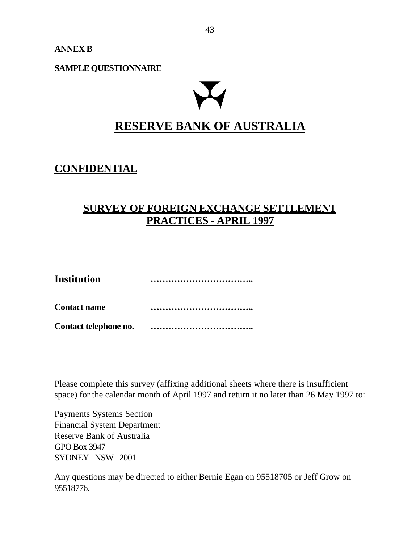**ANNEX B**

**SAMPLE QUESTIONNAIRE**

# **RESERVE BANK OF AUSTRALIA**

#### **CONFIDENTIAL**

#### **SURVEY OF FOREIGN EXCHANGE SETTLEMENT PRACTICES - APRIL 1997**

| <b>Institution</b>    |                                     |
|-----------------------|-------------------------------------|
| <b>Contact name</b>   | *********************************** |
| Contact telephone no. |                                     |

Please complete this survey (affixing additional sheets where there is insufficient space) for the calendar month of April 1997 and return it no later than 26 May 1997 to:

Payments Systems Section Financial System Department Reserve Bank of Australia GPO Box 3947 SYDNEY NSW 2001

Any questions may be directed to either Bernie Egan on 95518705 or Jeff Grow on 95518776.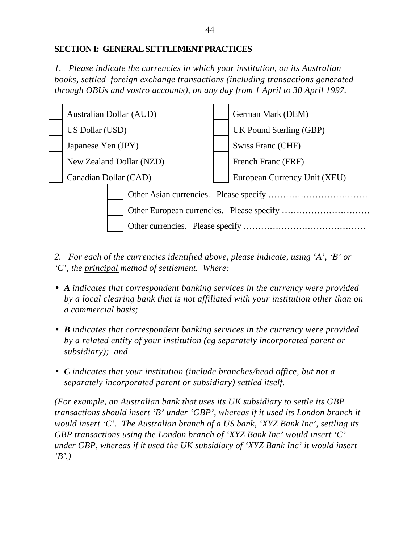#### **SECTION I: GENERAL SETTLEMENT PRACTICES**

*1. Please indicate the currencies in which your institution, on its Australian books, settled foreign exchange transactions (including transactions generated through OBUs and vostro accounts), on any day from 1 April to 30 April 1997.*



*2. For each of the currencies identified above, please indicate, using 'A', 'B' or 'C', the principal method of settlement. Where:*

- *A indicates that correspondent banking services in the currency were provided by a local clearing bank that is not affiliated with your institution other than on a commercial basis;*
- *B indicates that correspondent banking services in the currency were provided by a related entity of your institution (eg separately incorporated parent or subsidiary); and*
- *C indicates that your institution (include branches/head office, but not a separately incorporated parent or subsidiary) settled itself.*

*(For example, an Australian bank that uses its UK subsidiary to settle its GBP transactions should insert 'B' under 'GBP', whereas if it used its London branch it would insert 'C'. The Australian branch of a US bank, 'XYZ Bank Inc', settling its GBP transactions using the London branch of 'XYZ Bank Inc' would insert 'C' under GBP, whereas if it used the UK subsidiary of 'XYZ Bank Inc' it would insert 'B'.)*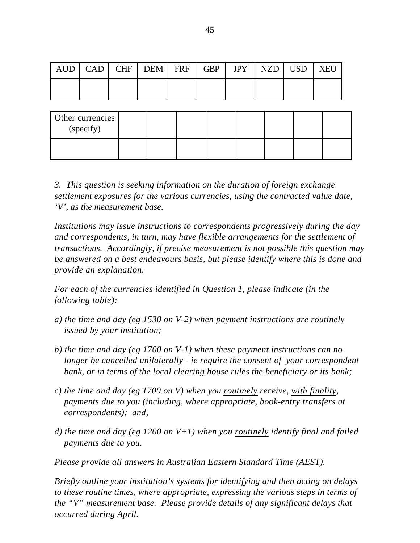|  | $AUD$ $CAD$ $CHF$ $DEM$ $FRF$ $GBP$ $IPY$ $NZD$ $USD$ |  |  | XEU |
|--|-------------------------------------------------------|--|--|-----|
|  |                                                       |  |  |     |

| Other currencies<br>(specify) |  |  |  |  |
|-------------------------------|--|--|--|--|
|                               |  |  |  |  |

*3. This question is seeking information on the duration of foreign exchange settlement exposures for the various currencies, using the contracted value date, 'V', as the measurement base.*

*Institutions may issue instructions to correspondents progressively during the day and correspondents, in turn, may have flexible arrangements for the settlement of transactions. Accordingly, if precise measurement is not possible this question may be answered on a best endeavours basis, but please identify where this is done and provide an explanation.*

*For each of the currencies identified in Question 1, please indicate (in the following table):*

- *a) the time and day (eg 1530 on V-2) when payment instructions are routinely issued by your institution;*
- *b) the time and day (eg 1700 on V-1) when these payment instructions can no longer be cancelled unilaterally - ie require the consent of your correspondent bank, or in terms of the local clearing house rules the beneficiary or its bank;*
- *c) the time and day (eg 1700 on V) when you routinely receive, with finality, payments due to you (including, where appropriate, book-entry transfers at correspondents); and,*
- *d) the time and day (eg 1200 on V+1) when you routinely identify final and failed payments due to you.*

*Please provide all answers in Australian Eastern Standard Time (AEST).*

*Briefly outline your institution's systems for identifying and then acting on delays to these routine times, where appropriate, expressing the various steps in terms of the "V" measurement base. Please provide details of any significant delays that occurred during April.*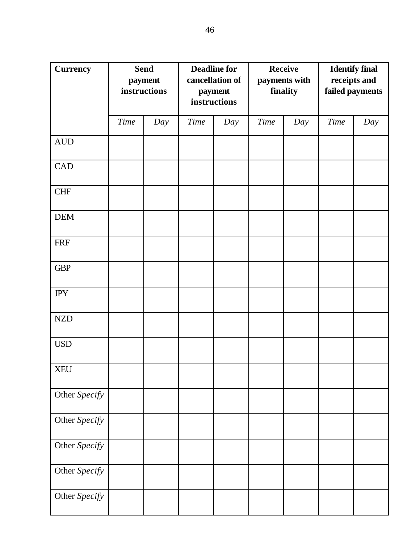| <b>Currency</b>  | <b>Send</b><br>payment<br>instructions |     |             | <b>Deadline for</b><br>cancellation of<br>payment<br>instructions |             | <b>Receive</b><br>payments with<br>finality | <b>Identify final</b><br>receipts and<br>failed payments |     |
|------------------|----------------------------------------|-----|-------------|-------------------------------------------------------------------|-------------|---------------------------------------------|----------------------------------------------------------|-----|
|                  | <b>Time</b>                            | Day | <b>Time</b> | Day                                                               | <b>Time</b> | Day                                         | <b>Time</b>                                              | Day |
| $\mbox{\rm AUD}$ |                                        |     |             |                                                                   |             |                                             |                                                          |     |
| CAD              |                                        |     |             |                                                                   |             |                                             |                                                          |     |
| <b>CHF</b>       |                                        |     |             |                                                                   |             |                                             |                                                          |     |
| DEM              |                                        |     |             |                                                                   |             |                                             |                                                          |     |
| <b>FRF</b>       |                                        |     |             |                                                                   |             |                                             |                                                          |     |
| <b>GBP</b>       |                                        |     |             |                                                                   |             |                                             |                                                          |     |
| <b>JPY</b>       |                                        |     |             |                                                                   |             |                                             |                                                          |     |
| NZD              |                                        |     |             |                                                                   |             |                                             |                                                          |     |
| <b>USD</b>       |                                        |     |             |                                                                   |             |                                             |                                                          |     |
| <b>XEU</b>       |                                        |     |             |                                                                   |             |                                             |                                                          |     |
| Other Specify    |                                        |     |             |                                                                   |             |                                             |                                                          |     |
| Other Specify    |                                        |     |             |                                                                   |             |                                             |                                                          |     |
| Other Specify    |                                        |     |             |                                                                   |             |                                             |                                                          |     |
| Other Specify    |                                        |     |             |                                                                   |             |                                             |                                                          |     |
| Other Specify    |                                        |     |             |                                                                   |             |                                             |                                                          |     |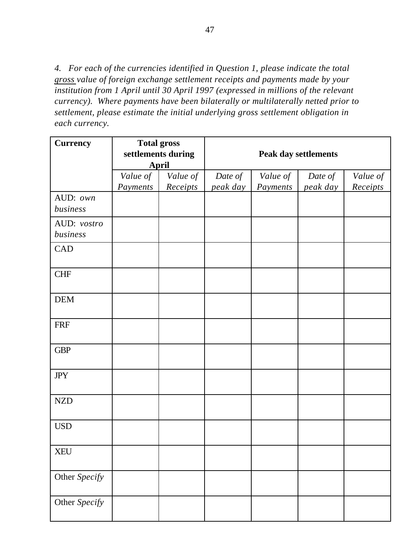*4. For each of the currencies identified in Question 1, please indicate the total gross value of foreign exchange settlement receipts and payments made by your institution from 1 April until 30 April 1997 (expressed in millions of the relevant currency). Where payments have been bilaterally or multilaterally netted prior to settlement, please estimate the initial underlying gross settlement obligation in each currency.*

| <b>Currency</b>         | <b>Total gross</b><br>settlements during | <b>April</b>         |                     |                      | <b>Peak day settlements</b> |                      |
|-------------------------|------------------------------------------|----------------------|---------------------|----------------------|-----------------------------|----------------------|
|                         | Value of<br>Payments                     | Value of<br>Receipts | Date of<br>peak day | Value of<br>Payments | Date of<br>peak day         | Value of<br>Receipts |
| AUD: own<br>business    |                                          |                      |                     |                      |                             |                      |
| AUD: vostro<br>business |                                          |                      |                     |                      |                             |                      |
| CAD                     |                                          |                      |                     |                      |                             |                      |
| <b>CHF</b>              |                                          |                      |                     |                      |                             |                      |
| <b>DEM</b>              |                                          |                      |                     |                      |                             |                      |
| <b>FRF</b>              |                                          |                      |                     |                      |                             |                      |
| <b>GBP</b>              |                                          |                      |                     |                      |                             |                      |
| $J\!P Y$                |                                          |                      |                     |                      |                             |                      |
| <b>NZD</b>              |                                          |                      |                     |                      |                             |                      |
| <b>USD</b>              |                                          |                      |                     |                      |                             |                      |
| <b>XEU</b>              |                                          |                      |                     |                      |                             |                      |
| Other Specify           |                                          |                      |                     |                      |                             |                      |
| Other Specify           |                                          |                      |                     |                      |                             |                      |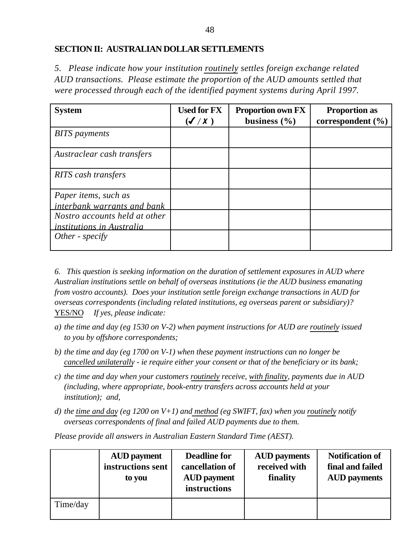#### **SECTION II: AUSTRALIAN DOLLAR SETTLEMENTS**

*5. Please indicate how your institution routinely settles foreign exchange related AUD transactions. Please estimate the proportion of the AUD amounts settled that were processed through each of the identified payment systems during April 1997.*

| <b>System</b>                                                     | <b>Used for FX</b><br>$(\mathcal{J}/\mathcal{X})$ | <b>Proportion own FX</b><br>business $(\% )$ | <b>Proportion as</b><br>correspondent $(\% )$ |
|-------------------------------------------------------------------|---------------------------------------------------|----------------------------------------------|-----------------------------------------------|
| <b>BITS</b> payments                                              |                                                   |                                              |                                               |
| Austraclear cash transfers                                        |                                                   |                                              |                                               |
| <b>RITS</b> cash transfers                                        |                                                   |                                              |                                               |
| Paper items, such as<br>interbank warrants and bank               |                                                   |                                              |                                               |
| Nostro accounts held at other<br><i>institutions in Australia</i> |                                                   |                                              |                                               |
| Other - $\epsilon$                                                |                                                   |                                              |                                               |

*6. This question is seeking information on the duration of settlement exposures in AUD where Australian institutions settle on behalf of overseas institutions (ie the AUD business emanating from vostro accounts). Does your institution settle foreign exchange transactions in AUD for overseas correspondents (including related institutions, eg overseas parent or subsidiary)?* YES/NO *If yes, please indicate:*

- *a) the time and day (eg 1530 on V-2) when payment instructions for AUD are routinely issued to you by offshore correspondents;*
- *b) the time and day (eg 1700 on V-1) when these payment instructions can no longer be cancelled unilaterally - ie require either your consent or that of the beneficiary or its bank;*
- *c) the time and day when your customers routinely receive, with finality, payments due in AUD (including, where appropriate, book-entry transfers across accounts held at your institution); and,*
- *d) the time and day (eg 1200 on V+1) and method (eg SWIFT, fax) when you routinely notify overseas correspondents of final and failed AUD payments due to them.*

*Please provide all answers in Australian Eastern Standard Time (AEST).*

|          | <b>AUD</b> payment<br>instructions sent<br>to you | <b>Deadline for</b><br>cancellation of<br><b>AUD</b> payment<br>instructions | <b>AUD</b> payments<br>received with<br>finality | <b>Notification of</b><br>final and failed<br><b>AUD</b> payments |
|----------|---------------------------------------------------|------------------------------------------------------------------------------|--------------------------------------------------|-------------------------------------------------------------------|
| Time/day |                                                   |                                                                              |                                                  |                                                                   |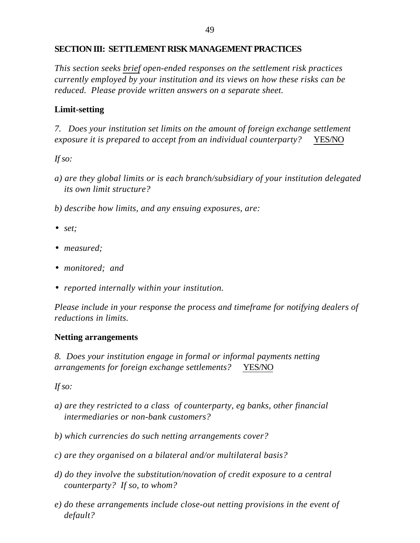#### **SECTION III: SETTLEMENT RISK MANAGEMENT PRACTICES**

*This section seeks brief open-ended responses on the settlement risk practices currently employed by your institution and its views on how these risks can be reduced. Please provide written answers on a separate sheet.*

#### **Limit-setting**

*7. Does your institution set limits on the amount of foreign exchange settlement exposure it is prepared to accept from an individual counterparty?* YES/NO

*If so:*

- *a) are they global limits or is each branch/subsidiary of your institution delegated its own limit structure?*
- *b) describe how limits, and any ensuing exposures, are:*
- *set;*
- *measured;*
- *monitored; and*
- *reported internally within your institution.*

*Please include in your response the process and timeframe for notifying dealers of reductions in limits.*

#### **Netting arrangements**

*8. Does your institution engage in formal or informal payments netting arrangements for foreign exchange settlements?* YES/NO

*If so:*

- *a) are they restricted to a class of counterparty, eg banks, other financial intermediaries or non-bank customers?*
- *b) which currencies do such netting arrangements cover?*
- *c) are they organised on a bilateral and/or multilateral basis?*
- *d) do they involve the substitution/novation of credit exposure to a central counterparty? If so, to whom?*
- *e) do these arrangements include close-out netting provisions in the event of default?*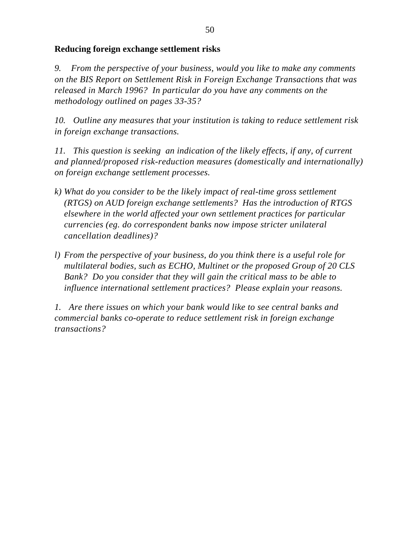#### **Reducing foreign exchange settlement risks**

*9. From the perspective of your business, would you like to make any comments on the BIS Report on Settlement Risk in Foreign Exchange Transactions that was released in March 1996? In particular do you have any comments on the methodology outlined on pages 33-35?*

*10. Outline any measures that your institution is taking to reduce settlement risk in foreign exchange transactions.*

*11. This question is seeking an indication of the likely effects, if any, of current and planned/proposed risk-reduction measures (domestically and internationally) on foreign exchange settlement processes.*

- *k) What do you consider to be the likely impact of real-time gross settlement (RTGS) on AUD foreign exchange settlements? Has the introduction of RTGS elsewhere in the world affected your own settlement practices for particular currencies (eg. do correspondent banks now impose stricter unilateral cancellation deadlines)?*
- *l) From the perspective of your business, do you think there is a useful role for multilateral bodies, such as ECHO, Multinet or the proposed Group of 20 CLS Bank? Do you consider that they will gain the critical mass to be able to influence international settlement practices? Please explain your reasons.*

*1. Are there issues on which your bank would like to see central banks and commercial banks co-operate to reduce settlement risk in foreign exchange transactions?*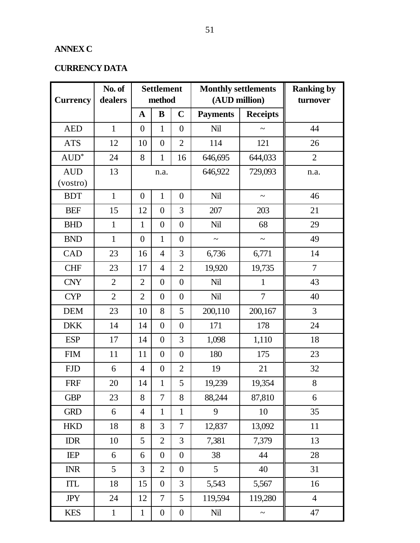#### **ANNEX C**

#### **CURRENCY DATA**

| <b>Currency</b>        | No. of<br>dealers |                | <b>Settlement</b><br>method |                  | <b>Monthly settlements</b><br>(AUD million) |                       | <b>Ranking by</b><br>turnover |
|------------------------|-------------------|----------------|-----------------------------|------------------|---------------------------------------------|-----------------------|-------------------------------|
|                        |                   | $\mathbf A$    | B                           | $\mathbf C$      | <b>Payments</b>                             | <b>Receipts</b>       |                               |
| <b>AED</b>             | $\mathbf{1}$      | $\overline{0}$ | 1                           | $\overline{0}$   | Nil                                         | $\tilde{}$            | 44                            |
| <b>ATS</b>             | 12                | 10             | $\boldsymbol{0}$            | $\overline{2}$   | 114                                         | 121                   | 26                            |
| $AUD^*$                | 24                | 8              | 1                           | 16               | 646,695                                     | 644,033               | $\overline{2}$                |
| <b>AUD</b><br>(vostro) | 13                |                | n.a.                        |                  | 646,922                                     | 729,093               | n.a.                          |
| <b>BDT</b>             | $\mathbf{1}$      | $\overline{0}$ | $\mathbf{1}$                | $\overline{0}$   | Nil                                         | $\tilde{\phantom{a}}$ | 46                            |
| <b>BEF</b>             | 15                | 12             | $\boldsymbol{0}$            | 3                | 207                                         | 203                   | 21                            |
| <b>BHD</b>             | $\mathbf{1}$      | $\mathbf{1}$   | $\boldsymbol{0}$            | $\overline{0}$   | <b>Nil</b>                                  | 68                    | 29                            |
| <b>BND</b>             | $\mathbf{1}$      | $\overline{0}$ | $\mathbf{1}$                | $\overline{0}$   | $\tilde{\phantom{a}}$                       | $\tilde{}$            | 49                            |
| CAD                    | 23                | 16             | $\overline{4}$              | 3                | 6,736                                       | 6,771                 | 14                            |
| <b>CHF</b>             | 23                | 17             | $\overline{4}$              | $\overline{2}$   | 19,920                                      | 19,735                | $\tau$                        |
| <b>CNY</b>             | $\overline{2}$    | $\overline{2}$ | $\theta$                    | $\overline{0}$   | Nil                                         | $\mathbf{1}$          | 43                            |
| <b>CYP</b>             | $\overline{2}$    | $\overline{2}$ | $\boldsymbol{0}$            | $\overline{0}$   | Nil                                         | $\tau$                | 40                            |
| <b>DEM</b>             | 23                | 10             | 8                           | 5                | 200,110                                     | 200,167               | 3                             |
| <b>DKK</b>             | 14                | 14             | $\boldsymbol{0}$            | $\overline{0}$   | 171                                         | 178                   | 24                            |
| <b>ESP</b>             | 17                | 14             | $\boldsymbol{0}$            | 3                | 1,098                                       | 1,110                 | 18                            |
| <b>FIM</b>             | 11                | 11             | $\boldsymbol{0}$            | $\overline{0}$   | 180                                         | 175                   | 23                            |
| <b>FJD</b>             | 6                 | $\overline{4}$ | $\boldsymbol{0}$            | $\overline{2}$   | 19                                          | 21                    | 32                            |
| <b>FRF</b>             | 20                | 14             | $\mathbf{1}$                | 5                | 19,239                                      | 19,354                | 8                             |
| <b>GBP</b>             | 23                | 8              | $\overline{7}$              | 8                | 88,244                                      | 87,810                | 6                             |
| <b>GRD</b>             | 6                 | $\overline{4}$ | $\mathbf{1}$                | $\mathbf{1}$     | 9                                           | 10                    | 35                            |
| <b>HKD</b>             | 18                | 8              | 3                           | $\overline{7}$   | 12,837                                      | 13,092                | 11                            |
| <b>IDR</b>             | 10                | 5              | $\overline{2}$              | 3                | 7,381                                       | 7,379                 | 13                            |
| <b>IEP</b>             | 6                 | 6              | $\overline{0}$              | $\mathbf{0}$     | 38                                          | 44                    | 28                            |
| <b>INR</b>             | 5                 | $\overline{3}$ | $\overline{2}$              | $\boldsymbol{0}$ | 5                                           | 40                    | 31                            |
| ITL                    | 18                | 15             | $\boldsymbol{0}$            | 3                | 5,543                                       | 5,567                 | 16                            |
| <b>JPY</b>             | 24                | 12             | $\tau$                      | 5                | 119,594                                     | 119,280               | $\overline{4}$                |
| <b>KES</b>             | $\mathbf{1}$      | $\mathbf{1}$   | $\boldsymbol{0}$            | $\boldsymbol{0}$ | Nil                                         | $\tilde{\phantom{0}}$ | 47                            |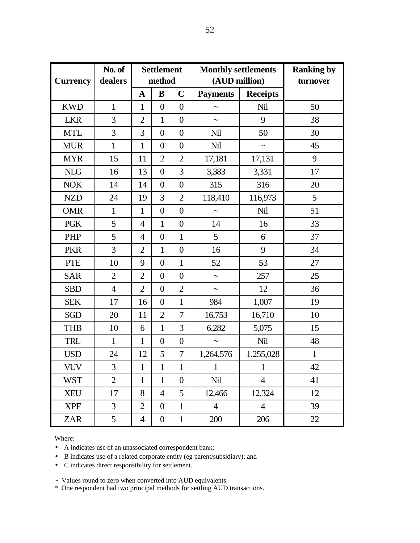| <b>Currency</b> | No. of<br>dealers |                | <b>Settlement</b><br>method |                  | <b>Monthly settlements</b><br>(AUD million) |                | <b>Ranking by</b><br>turnover |
|-----------------|-------------------|----------------|-----------------------------|------------------|---------------------------------------------|----------------|-------------------------------|
|                 |                   | $\mathbf A$    | B                           | $\mathbf C$      | <b>Payments</b><br><b>Receipts</b>          |                |                               |
| <b>KWD</b>      | $\mathbf{1}$      | $\mathbf{1}$   | $\overline{0}$              | $\overline{0}$   | $\tilde{\phantom{a}}$                       | Nil            | 50                            |
| <b>LKR</b>      | 3                 | $\overline{2}$ | $\mathbf{1}$                | $\overline{0}$   | $\tilde{\phantom{a}}$                       | 9              | 38                            |
| <b>MTL</b>      | 3                 | 3              | $\boldsymbol{0}$            | $\overline{0}$   | Nil                                         | 50             | 30                            |
| <b>MUR</b>      | $\mathbf{1}$      | $\mathbf{1}$   | $\overline{0}$              | $\overline{0}$   | <b>Nil</b>                                  | $\tilde{}$     | 45                            |
| <b>MYR</b>      | 15                | 11             | $\overline{2}$              | $\overline{2}$   | 17,181                                      | 17,131         | 9                             |
| <b>NLG</b>      | 16                | 13             | $\overline{0}$              | 3                | 3,383                                       | 3,331          | 17                            |
| <b>NOK</b>      | 14                | 14             | $\boldsymbol{0}$            | $\overline{0}$   | 315                                         | 316            | 20                            |
| <b>NZD</b>      | 24                | 19             | 3                           | $\overline{2}$   | 118,410                                     | 116,973        | 5                             |
| <b>OMR</b>      | $\mathbf{1}$      | $\mathbf{1}$   | $\overline{0}$              | $\overline{0}$   | $\tilde{\phantom{a}}$                       | <b>Nil</b>     | 51                            |
| <b>PGK</b>      | 5                 | $\overline{4}$ | $\mathbf{1}$                | $\overline{0}$   | 14                                          | 16             | 33                            |
| PHP             | 5                 | $\overline{4}$ | $\boldsymbol{0}$            | $\mathbf{1}$     | 5                                           | 6              | 37                            |
| <b>PKR</b>      | 3                 | $\overline{2}$ | $\mathbf{1}$                | $\overline{0}$   | 16                                          | 9              | 34                            |
| <b>PTE</b>      | 10                | 9              | $\boldsymbol{0}$            | $\mathbf{1}$     | 52                                          | 53             | 27                            |
| <b>SAR</b>      | $\overline{2}$    | $\overline{2}$ | $\overline{0}$              | $\overline{0}$   | $\tilde{\phantom{a}}$                       | 257            | 25                            |
| <b>SBD</b>      | $\overline{4}$    | $\overline{2}$ | $\boldsymbol{0}$            | $\overline{2}$   | $\tilde{\phantom{a}}$                       | 12             | 36                            |
| <b>SEK</b>      | 17                | 16             | $\overline{0}$              | $\mathbf{1}$     | 984                                         | 1,007          | 19                            |
| <b>SGD</b>      | 20                | 11             | $\overline{2}$              | 7                | 16,753                                      | 16,710         | 10                            |
| <b>THB</b>      | 10                | 6              | $\mathbf{1}$                | 3                | 6,282                                       | 5,075          | 15                            |
| <b>TRL</b>      | $\mathbf{1}$      | $\mathbf{1}$   | $\boldsymbol{0}$            | $\overline{0}$   | $\sim$                                      | Nil            | 48                            |
| <b>USD</b>      | 24                | 12             | 5                           | 7                | 1,264,576                                   | 1,255,028      | $\mathbf{1}$                  |
| <b>VUV</b>      | $\overline{3}$    | $\mathbf{1}$   | $\mathbf{1}$                | $\mathbf{1}$     | 1                                           | 1              | 42                            |
| <b>WST</b>      | $\overline{2}$    | 1              | 1                           | $\boldsymbol{0}$ | Nil                                         | $\overline{4}$ | 41                            |
| <b>XEU</b>      | 17                | 8              | 4                           | 5                | 12,466                                      | 12,324         | 12                            |
| <b>XPF</b>      | 3                 | $\overline{2}$ | $\overline{0}$              | $\mathbf{1}$     | $\overline{4}$                              | $\overline{4}$ | 39                            |
| <b>ZAR</b>      | 5                 | $\overline{4}$ | $\boldsymbol{0}$            | $\mathbf{1}$     | 200                                         | 206            | 22                            |

Where:

• A indicates use of an unassociated correspondent bank;

• B indicates use of a related corporate entity (eg parent/subsidiary); and

• C indicates direct responsibility for settlement.

~ Values round to zero when converted into AUD equivalents.

\* One respondent had two principal methods for settling AUD transactions.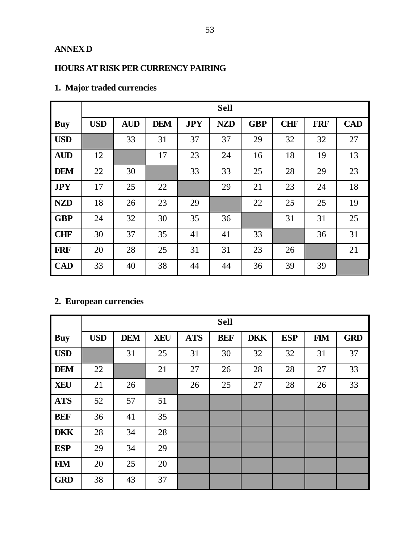#### **ANNEX D**

#### **HOURS AT RISK PER CURRENCY PAIRING**

|            |            |            |            |            | <b>Sell</b> |            |            |            |            |
|------------|------------|------------|------------|------------|-------------|------------|------------|------------|------------|
| <b>Buy</b> | <b>USD</b> | <b>AUD</b> | <b>DEM</b> | <b>JPY</b> | <b>NZD</b>  | <b>GBP</b> | <b>CHF</b> | <b>FRF</b> | <b>CAD</b> |
| <b>USD</b> |            | 33         | 31         | 37         | 37          | 29         | 32         | 32         | 27         |
| <b>AUD</b> | 12         |            | 17         | 23         | 24          | 16         | 18         | 19         | 13         |
| <b>DEM</b> | 22         | 30         |            | 33         | 33          | 25         | 28         | 29         | 23         |
| <b>JPY</b> | 17         | 25         | 22         |            | 29          | 21         | 23         | 24         | 18         |
| <b>NZD</b> | 18         | 26         | 23         | 29         |             | 22         | 25         | 25         | 19         |
| <b>GBP</b> | 24         | 32         | 30         | 35         | 36          |            | 31         | 31         | 25         |
| <b>CHF</b> | 30         | 37         | 35         | 41         | 41          | 33         |            | 36         | 31         |
| <b>FRF</b> | 20         | 28         | 25         | 31         | 31          | 23         | 26         |            | 21         |
| <b>CAD</b> | 33         | 40         | 38         | 44         | 44          | 36         | 39         | 39         |            |

#### **1. Major traded currencies**

### **2. European currencies**

|            |            |            |            |            | <b>Sell</b> |            |            |            |            |
|------------|------------|------------|------------|------------|-------------|------------|------------|------------|------------|
| <b>Buy</b> | <b>USD</b> | <b>DEM</b> | <b>XEU</b> | <b>ATS</b> | <b>BEF</b>  | <b>DKK</b> | <b>ESP</b> | <b>FIM</b> | <b>GRD</b> |
| <b>USD</b> |            | 31         | 25         | 31         | 30          | 32         | 32         | 31         | 37         |
| <b>DEM</b> | 22         |            | 21         | 27         | 26          | 28         | 28         | 27         | 33         |
| <b>XEU</b> | 21         | 26         |            | 26         | 25          | 27         | 28         | 26         | 33         |
| <b>ATS</b> | 52         | 57         | 51         |            |             |            |            |            |            |
| <b>BEF</b> | 36         | 41         | 35         |            |             |            |            |            |            |
| <b>DKK</b> | 28         | 34         | 28         |            |             |            |            |            |            |
| <b>ESP</b> | 29         | 34         | 29         |            |             |            |            |            |            |
| <b>FIM</b> | 20         | 25         | 20         |            |             |            |            |            |            |
| <b>GRD</b> | 38         | 43         | 37         |            |             |            |            |            |            |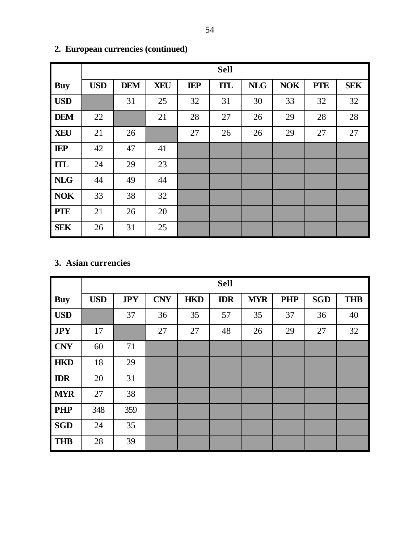|            |            |            |            |            | <b>Sell</b> |            |            |            |            |
|------------|------------|------------|------------|------------|-------------|------------|------------|------------|------------|
| <b>Buy</b> | <b>USD</b> | <b>DEM</b> | <b>XEU</b> | <b>IEP</b> | <b>ITL</b>  | <b>NLG</b> | <b>NOK</b> | <b>PTE</b> | <b>SEK</b> |
| <b>USD</b> |            | 31         | 25         | 32         | 31          | 30         | 33         | 32         | 32         |
| <b>DEM</b> | 22         |            | 21         | 28         | 27          | 26         | 29         | 28         | 28         |
| <b>XEU</b> | 21         | 26         |            | 27         | 26          | 26         | 29         | 27         | 27         |
| <b>IEP</b> | 42         | 47         | 41         |            |             |            |            |            |            |
| <b>ITL</b> | 24         | 29         | 23         |            |             |            |            |            |            |
| <b>NLG</b> | 44         | 49         | 44         |            |             |            |            |            |            |
| <b>NOK</b> | 33         | 38         | 32         |            |             |            |            |            |            |
| <b>PTE</b> | 21         | 26         | 20         |            |             |            |            |            |            |
| <b>SEK</b> | 26         | 31         | 25         |            |             |            |            |            |            |

### **2. European currencies (continued)**

#### **3. Asian currencies**

|            |            |            |            |            | <b>Sell</b> |            |            |            |            |
|------------|------------|------------|------------|------------|-------------|------------|------------|------------|------------|
| <b>Buy</b> | <b>USD</b> | <b>JPY</b> | <b>CNY</b> | <b>HKD</b> | <b>IDR</b>  | <b>MYR</b> | <b>PHP</b> | <b>SGD</b> | <b>THB</b> |
| <b>USD</b> |            | 37         | 36         | 35         | 57          | 35         | 37         | 36         | 40         |
| <b>JPY</b> | 17         |            | 27         | 27         | 48          | 26         | 29         | 27         | 32         |
| <b>CNY</b> | 60         | 71         |            |            |             |            |            |            |            |
| <b>HKD</b> | 18         | 29         |            |            |             |            |            |            |            |
| <b>IDR</b> | 20         | 31         |            |            |             |            |            |            |            |
| <b>MYR</b> | 27         | 38         |            |            |             |            |            |            |            |
| <b>PHP</b> | 348        | 359        |            |            |             |            |            |            |            |
| <b>SGD</b> | 24         | 35         |            |            |             |            |            |            |            |
| <b>THB</b> | 28         | 39         |            |            |             |            |            |            |            |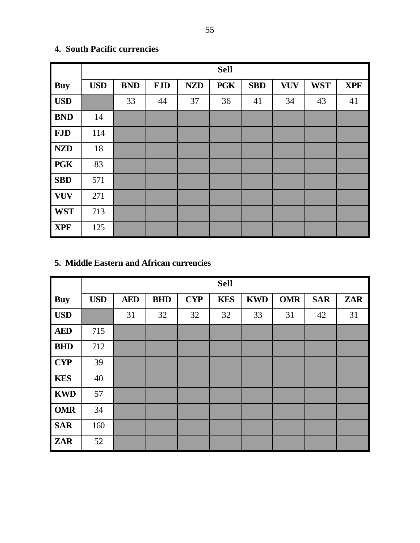|            |            |            |            |            | <b>Sell</b> |            |            |            |            |
|------------|------------|------------|------------|------------|-------------|------------|------------|------------|------------|
| <b>Buy</b> | <b>USD</b> | <b>BND</b> | <b>FJD</b> | <b>NZD</b> | <b>PGK</b>  | <b>SBD</b> | <b>VUV</b> | <b>WST</b> | <b>XPF</b> |
| <b>USD</b> |            | 33         | 44         | 37         | 36          | 41         | 34         | 43         | 41         |
| <b>BND</b> | 14         |            |            |            |             |            |            |            |            |
| <b>FJD</b> | 114        |            |            |            |             |            |            |            |            |
| <b>NZD</b> | 18         |            |            |            |             |            |            |            |            |
| <b>PGK</b> | 83         |            |            |            |             |            |            |            |            |
| <b>SBD</b> | 571        |            |            |            |             |            |            |            |            |
| <b>VUV</b> | 271        |            |            |            |             |            |            |            |            |
| <b>WST</b> | 713        |            |            |            |             |            |            |            |            |
| <b>XPF</b> | 125        |            |            |            |             |            |            |            |            |

#### **4. South Pacific currencies**

#### **5. Middle Eastern and African currencies**

|            |            |            |            |            | <b>Sell</b> |            |            |            |            |
|------------|------------|------------|------------|------------|-------------|------------|------------|------------|------------|
| <b>Buy</b> | <b>USD</b> | <b>AED</b> | <b>BHD</b> | <b>CYP</b> | <b>KES</b>  | <b>KWD</b> | <b>OMR</b> | <b>SAR</b> | <b>ZAR</b> |
| <b>USD</b> |            | 31         | 32         | 32         | 32          | 33         | 31         | 42         | 31         |
| <b>AED</b> | 715        |            |            |            |             |            |            |            |            |
| <b>BHD</b> | 712        |            |            |            |             |            |            |            |            |
| <b>CYP</b> | 39         |            |            |            |             |            |            |            |            |
| <b>KES</b> | 40         |            |            |            |             |            |            |            |            |
| <b>KWD</b> | 57         |            |            |            |             |            |            |            |            |
| <b>OMR</b> | 34         |            |            |            |             |            |            |            |            |
| <b>SAR</b> | 160        |            |            |            |             |            |            |            |            |
| <b>ZAR</b> | 52         |            |            |            |             |            |            |            |            |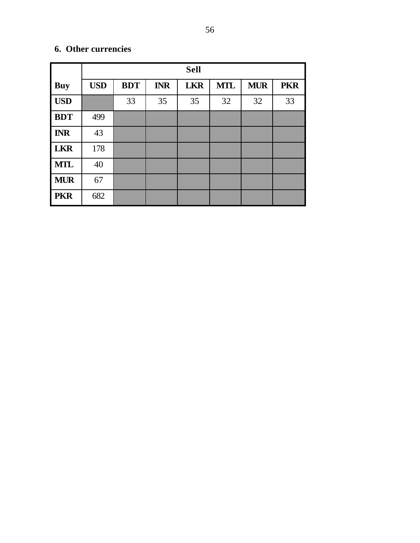#### **6. Other currencies**

|            | <b>Sell</b> |            |            |            |            |            |            |
|------------|-------------|------------|------------|------------|------------|------------|------------|
| Buy        | <b>USD</b>  | <b>BDT</b> | <b>INR</b> | <b>LKR</b> | <b>MTL</b> | <b>MUR</b> | <b>PKR</b> |
| <b>USD</b> |             | 33         | 35         | 35         | 32         | 32         | 33         |
| <b>BDT</b> | 499         |            |            |            |            |            |            |
| <b>INR</b> | 43          |            |            |            |            |            |            |
| <b>LKR</b> | 178         |            |            |            |            |            |            |
| <b>MTL</b> | 40          |            |            |            |            |            |            |
| <b>MUR</b> | 67          |            |            |            |            |            |            |
| <b>PKR</b> | 682         |            |            |            |            |            |            |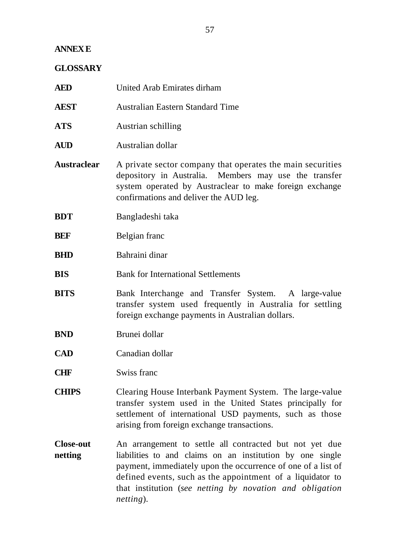#### **ANNEX E**

#### **GLOSSARY**

| <b>AED</b>                  | United Arab Emirates dirham                                                                                                                                                                                                                                                                                                 |
|-----------------------------|-----------------------------------------------------------------------------------------------------------------------------------------------------------------------------------------------------------------------------------------------------------------------------------------------------------------------------|
| <b>AEST</b>                 | <b>Australian Eastern Standard Time</b>                                                                                                                                                                                                                                                                                     |
| <b>ATS</b>                  | Austrian schilling                                                                                                                                                                                                                                                                                                          |
| <b>AUD</b>                  | Australian dollar                                                                                                                                                                                                                                                                                                           |
| <b>Austraclear</b>          | A private sector company that operates the main securities<br>depository in Australia. Members may use the transfer<br>system operated by Austraclear to make foreign exchange<br>confirmations and deliver the AUD leg.                                                                                                    |
| <b>BDT</b>                  | Bangladeshi taka                                                                                                                                                                                                                                                                                                            |
| <b>BEF</b>                  | Belgian franc                                                                                                                                                                                                                                                                                                               |
| <b>BHD</b>                  | Bahraini dinar                                                                                                                                                                                                                                                                                                              |
| <b>BIS</b>                  | <b>Bank for International Settlements</b>                                                                                                                                                                                                                                                                                   |
| <b>BITS</b>                 | Bank Interchange and Transfer System. A large-value<br>transfer system used frequently in Australia for settling<br>foreign exchange payments in Australian dollars.                                                                                                                                                        |
| <b>BND</b>                  | Brunei dollar                                                                                                                                                                                                                                                                                                               |
| <b>CAD</b>                  | Canadian dollar                                                                                                                                                                                                                                                                                                             |
| <b>CHF</b>                  | Swiss franc                                                                                                                                                                                                                                                                                                                 |
| <b>CHIPS</b>                | Clearing House Interbank Payment System. The large-value<br>transfer system used in the United States principally for<br>settlement of international USD payments, such as those<br>arising from foreign exchange transactions.                                                                                             |
| <b>Close-out</b><br>netting | An arrangement to settle all contracted but not yet due<br>liabilities to and claims on an institution by one single<br>payment, immediately upon the occurrence of one of a list of<br>defined events, such as the appointment of a liquidator to<br>that institution (see netting by novation and obligation<br>netting). |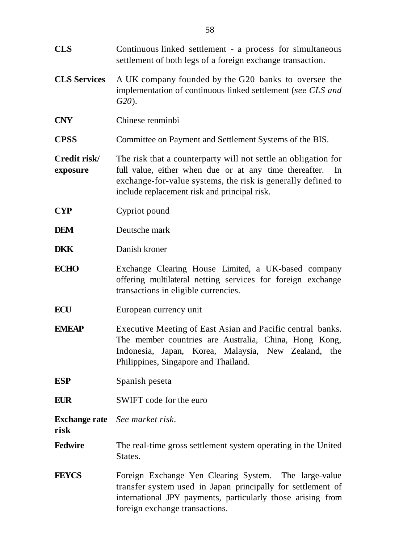| <b>CLS</b>               | Continuous linked settlement - a process for simultaneous<br>settlement of both legs of a foreign exchange transaction.                                                                                                                        |
|--------------------------|------------------------------------------------------------------------------------------------------------------------------------------------------------------------------------------------------------------------------------------------|
| <b>CLS Services</b>      | A UK company founded by the G20 banks to oversee the<br>implementation of continuous linked settlement (see CLS and<br>$G20$ ).                                                                                                                |
| <b>CNY</b>               | Chinese renminbi                                                                                                                                                                                                                               |
| <b>CPSS</b>              | Committee on Payment and Settlement Systems of the BIS.                                                                                                                                                                                        |
| Credit risk/<br>exposure | The risk that a counterparty will not settle an obligation for<br>full value, either when due or at any time thereafter.<br>In<br>exchange-for-value systems, the risk is generally defined to<br>include replacement risk and principal risk. |
| <b>CYP</b>               | Cypriot pound                                                                                                                                                                                                                                  |
| <b>DEM</b>               | Deutsche mark                                                                                                                                                                                                                                  |
| <b>DKK</b>               | Danish kroner                                                                                                                                                                                                                                  |
| <b>ECHO</b>              | Exchange Clearing House Limited, a UK-based company<br>offering multilateral netting services for foreign exchange<br>transactions in eligible currencies.                                                                                     |
| <b>ECU</b>               | European currency unit                                                                                                                                                                                                                         |
| <b>EMEAP</b>             | Executive Meeting of East Asian and Pacific central banks.<br>The member countries are Australia, China, Hong Kong,<br>Indonesia, Japan, Korea, Malaysia, New Zealand, the<br>Philippines, Singapore and Thailand.                             |
| <b>ESP</b>               | Spanish peseta                                                                                                                                                                                                                                 |
| <b>EUR</b>               | SWIFT code for the euro                                                                                                                                                                                                                        |
| risk                     | <b>Exchange rate</b> See market risk.                                                                                                                                                                                                          |
| <b>Fedwire</b>           | The real-time gross settlement system operating in the United<br>States.                                                                                                                                                                       |
| <b>FEYCS</b>             | Foreign Exchange Yen Clearing System. The large-value<br>transfer system used in Japan principally for settlement of<br>international JPY payments, particularly those arising from<br>foreign exchange transactions.                          |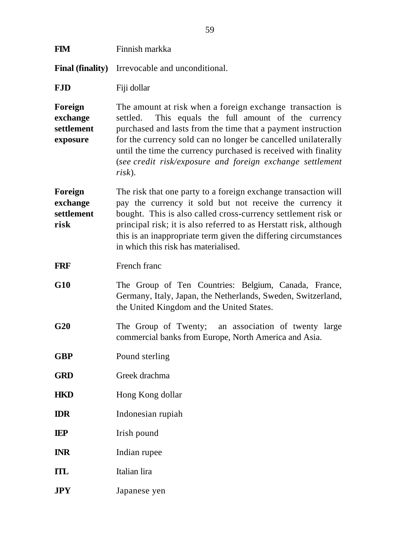| <b>FIM</b>                                    | Finnish markka                                                                                                                                                                                                                                                                                                                                                                                     |
|-----------------------------------------------|----------------------------------------------------------------------------------------------------------------------------------------------------------------------------------------------------------------------------------------------------------------------------------------------------------------------------------------------------------------------------------------------------|
| <b>Final (finality)</b>                       | Irrevocable and unconditional.                                                                                                                                                                                                                                                                                                                                                                     |
| <b>FJD</b>                                    | Fiji dollar                                                                                                                                                                                                                                                                                                                                                                                        |
| Foreign<br>exchange<br>settlement<br>exposure | The amount at risk when a foreign exchange transaction is<br>This equals the full amount of the currency<br>settled.<br>purchased and lasts from the time that a payment instruction<br>for the currency sold can no longer be cancelled unilaterally<br>until the time the currency purchased is received with finality<br>(see credit risk/exposure and foreign exchange settlement<br>$risk$ ). |
| Foreign<br>exchange<br>settlement<br>risk     | The risk that one party to a foreign exchange transaction will<br>pay the currency it sold but not receive the currency it<br>bought. This is also called cross-currency settlement risk or<br>principal risk; it is also referred to as Herstatt risk, although<br>this is an inappropriate term given the differing circumstances<br>in which this risk has materialised.                        |
| <b>FRF</b>                                    | French franc                                                                                                                                                                                                                                                                                                                                                                                       |
| G10                                           | The Group of Ten Countries: Belgium, Canada, France,<br>Germany, Italy, Japan, the Netherlands, Sweden, Switzerland,<br>the United Kingdom and the United States.                                                                                                                                                                                                                                  |
| G20                                           | The Group of Twenty; an association of twenty large<br>commercial banks from Europe, North America and Asia.                                                                                                                                                                                                                                                                                       |
| <b>GBP</b>                                    | Pound sterling                                                                                                                                                                                                                                                                                                                                                                                     |
| <b>GRD</b>                                    | Greek drachma                                                                                                                                                                                                                                                                                                                                                                                      |
| <b>HKD</b>                                    | Hong Kong dollar                                                                                                                                                                                                                                                                                                                                                                                   |
| <b>IDR</b>                                    | Indonesian rupiah                                                                                                                                                                                                                                                                                                                                                                                  |
| <b>IEP</b>                                    | Irish pound                                                                                                                                                                                                                                                                                                                                                                                        |
| <b>INR</b>                                    | Indian rupee                                                                                                                                                                                                                                                                                                                                                                                       |
| <b>ITL</b>                                    | Italian lira                                                                                                                                                                                                                                                                                                                                                                                       |
| <b>JPY</b>                                    | Japanese yen                                                                                                                                                                                                                                                                                                                                                                                       |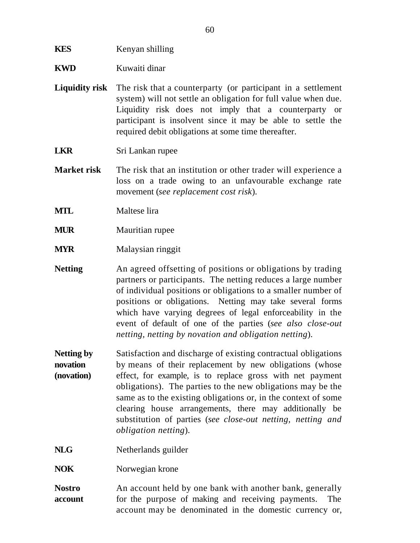#### **KES** Kenyan shilling

- **KWD** Kuwaiti dinar
- **Liquidity risk** The risk that a counterparty (or participant in a settlement system) will not settle an obligation for full value when due. Liquidity risk does not imply that a counterparty or participant is insolvent since it may be able to settle the required debit obligations at some time thereafter.

**LKR** Sri Lankan rupee

- **Market risk** The risk that an institution or other trader will experience a loss on a trade owing to an unfavourable exchange rate movement (*see replacement cost risk*).
- **MTL** Maltese lira
- **MUR** Mauritian rupee
- **MYR** Malaysian ringgit
- **Netting** An agreed offsetting of positions or obligations by trading partners or participants. The netting reduces a large number of individual positions or obligations to a smaller number of positions or obligations. Netting may take several forms which have varying degrees of legal enforceability in the event of default of one of the parties (*see also close-out netting, netting by novation and obligation netting*).
- **Netting by novation (novation)** Satisfaction and discharge of existing contractual obligations by means of their replacement by new obligations (whose effect, for example, is to replace gross with net payment obligations). The parties to the new obligations may be the same as to the existing obligations or, in the context of some clearing house arrangements, there may additionally be substitution of parties (*see close-out netting, netting and obligation netting*).
- **NLG** Netherlands guilder
- **NOK** Norwegian krone
- **Nostro account** An account held by one bank with another bank, generally for the purpose of making and receiving payments. The account may be denominated in the domestic currency or,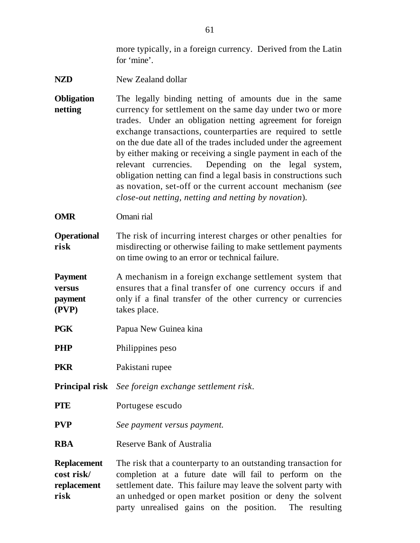more typically, in a foreign currency. Derived from the Latin for 'mine'.

- **NZD** New Zealand dollar
- **Obligation netting** The legally binding netting of amounts due in the same currency for settlement on the same day under two or more trades. Under an obligation netting agreement for foreign exchange transactions, counterparties are required to settle on the due date all of the trades included under the agreement by either making or receiving a single payment in each of the relevant currencies. Depending on the legal system, obligation netting can find a legal basis in constructions such as novation, set-off or the current account mechanism (*see close-out netting, netting and netting by novation*).
- **OMR** Omani rial
- **Operational risk** The risk of incurring interest charges or other penalties for misdirecting or otherwise failing to make settlement payments on time owing to an error or technical failure.
- **Payment versus payment (PVP)** A mechanism in a foreign exchange settlement system that ensures that a final transfer of one currency occurs if and only if a final transfer of the other currency or currencies takes place.
- **PGK** Papua New Guinea kina

**PHP** Philippines peso

**PKR** Pakistani rupee

**Principal risk** *See foreign exchange settlement risk*.

- **PTE** Portugese escudo
- **PVP** *See payment versus payment.*
- **RBA** Reserve Bank of Australia

**Replacement cost risk/ replacement risk** The risk that a counterparty to an outstanding transaction for completion at a future date will fail to perform on the settlement date. This failure may leave the solvent party with an unhedged or open market position or deny the solvent party unrealised gains on the position. The resulting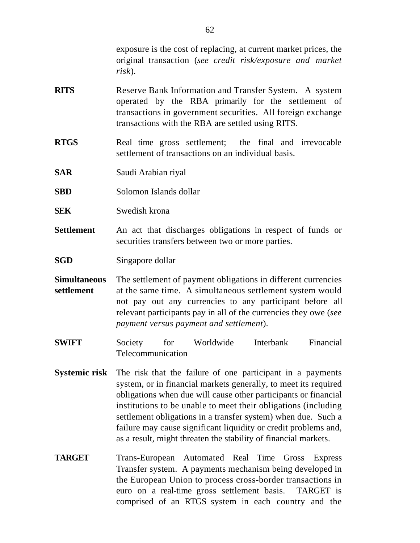exposure is the cost of replacing, at current market prices, the original transaction (*see credit risk/exposure and market risk*).

- **RITS** Reserve Bank Information and Transfer System. A system operated by the RBA primarily for the settlement of transactions in government securities. All foreign exchange transactions with the RBA are settled using RITS.
- **RTGS** Real time gross settlement; the final and irrevocable settlement of transactions on an individual basis.
- **SAR** Saudi Arabian riyal
- **SBD** Solomon Islands dollar
- **SEK** Swedish krona
- **Settlement** An act that discharges obligations in respect of funds or securities transfers between two or more parties.
- **SGD** Singapore dollar
- **Simultaneous settlement** The settlement of payment obligations in different currencies at the same time. A simultaneous settlement system would not pay out any currencies to any participant before all relevant participants pay in all of the currencies they owe (*see payment versus payment and settlement*).
- **SWIFT** Society for Worldwide Interbank Financial Telecommunication
- **Systemic risk** The risk that the failure of one participant in a payments system, or in financial markets generally, to meet its required obligations when due will cause other participants or financial institutions to be unable to meet their obligations (including settlement obligations in a transfer system) when due. Such a failure may cause significant liquidity or credit problems and, as a result, might threaten the stability of financial markets.
- **TARGET** Trans-European Automated Real Time Gross Express Transfer system. A payments mechanism being developed in the European Union to process cross-border transactions in euro on a real-time gross settlement basis. TARGET is comprised of an RTGS system in each country and the